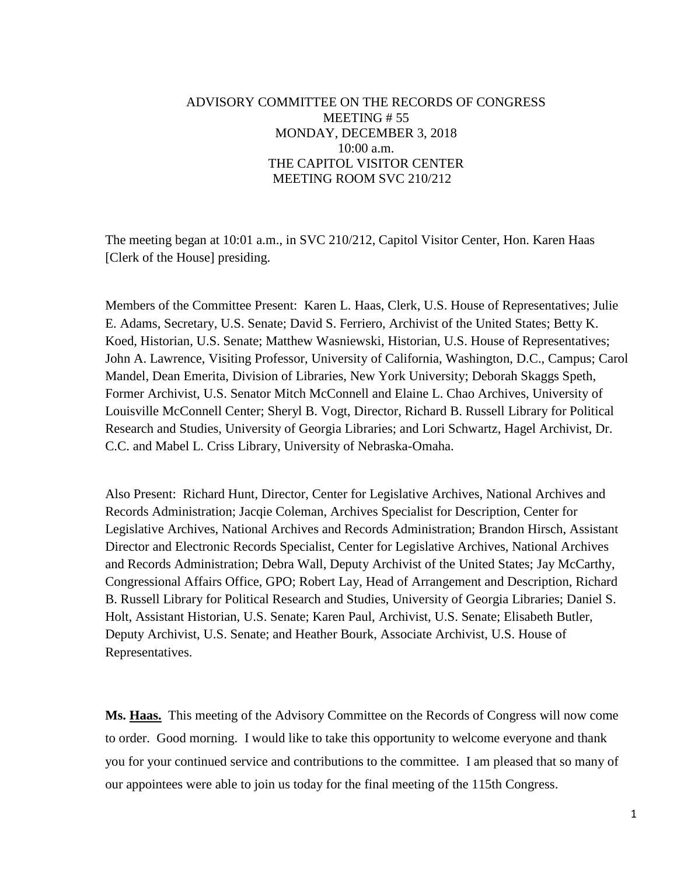## ADVISORY COMMITTEE ON THE RECORDS OF CONGRESS MEETING # 55 MONDAY, DECEMBER 3, 2018 10:00 a.m. THE CAPITOL VISITOR CENTER MEETING ROOM SVC 210/212

The meeting began at 10:01 a.m., in SVC 210/212, Capitol Visitor Center, Hon. Karen Haas [Clerk of the House] presiding.

Members of the Committee Present: Karen L. Haas, Clerk, U.S. House of Representatives; Julie E. Adams, Secretary, U.S. Senate; David S. Ferriero, Archivist of the United States; Betty K. Koed, Historian, U.S. Senate; Matthew Wasniewski, Historian, U.S. House of Representatives; John A. Lawrence, Visiting Professor, University of California, Washington, D.C., Campus; Carol Mandel, Dean Emerita, Division of Libraries, New York University; Deborah Skaggs Speth, Former Archivist, U.S. Senator Mitch McConnell and Elaine L. Chao Archives, University of Louisville McConnell Center; Sheryl B. Vogt, Director, Richard B. Russell Library for Political Research and Studies, University of Georgia Libraries; and Lori Schwartz, Hagel Archivist, Dr. C.C. and Mabel L. Criss Library, University of Nebraska-Omaha.

Also Present: Richard Hunt, Director, Center for Legislative Archives, National Archives and Records Administration; Jacqie Coleman, Archives Specialist for Description, Center for Legislative Archives, National Archives and Records Administration; Brandon Hirsch, Assistant Director and Electronic Records Specialist, Center for Legislative Archives, National Archives and Records Administration; Debra Wall, Deputy Archivist of the United States; Jay McCarthy, Congressional Affairs Office, GPO; Robert Lay, Head of Arrangement and Description, Richard B. Russell Library for Political Research and Studies, University of Georgia Libraries; Daniel S. Holt, Assistant Historian, U.S. Senate; Karen Paul, Archivist, U.S. Senate; Elisabeth Butler, Deputy Archivist, U.S. Senate; and Heather Bourk, Associate Archivist, U.S. House of Representatives.

**Ms. Haas.** This meeting of the Advisory Committee on the Records of Congress will now come to order. Good morning. I would like to take this opportunity to welcome everyone and thank you for your continued service and contributions to the committee. I am pleased that so many of our appointees were able to join us today for the final meeting of the 115th Congress.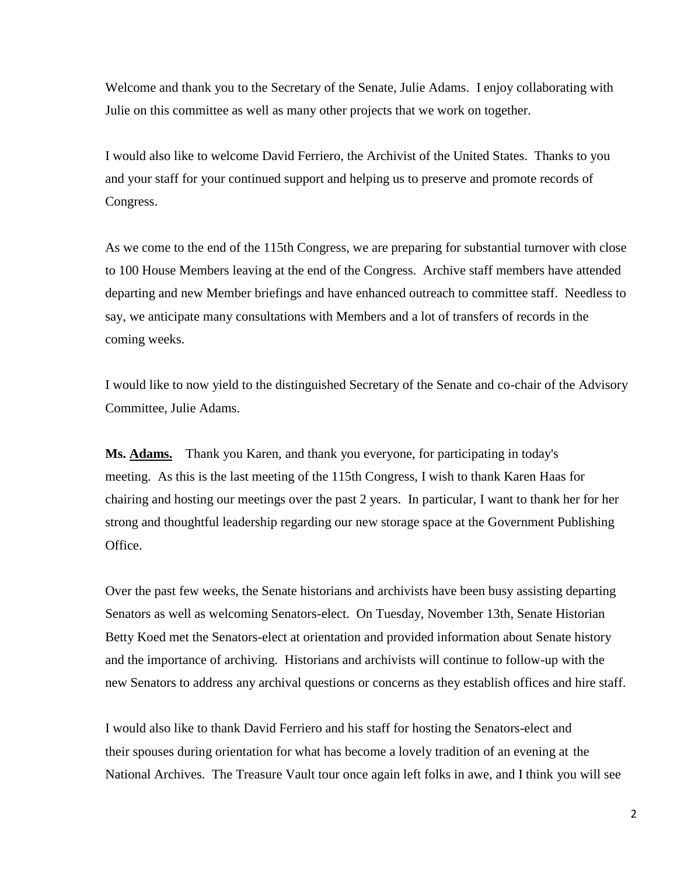Welcome and thank you to the Secretary of the Senate, Julie Adams. I enjoy collaborating with Julie on this committee as well as many other projects that we work on together.

I would also like to welcome David Ferriero, the Archivist of the United States. Thanks to you and your staff for your continued support and helping us to preserve and promote records of Congress.

As we come to the end of the 115th Congress, we are preparing for substantial turnover with close to 100 House Members leaving at the end of the Congress. Archive staff members have attended departing and new Member briefings and have enhanced outreach to committee staff. Needless to say, we anticipate many consultations with Members and a lot of transfers of records in the coming weeks.

I would like to now yield to the distinguished Secretary of the Senate and co-chair of the Advisory Committee, Julie Adams.

**Ms. Adams.** Thank you Karen, and thank you everyone, for participating in today's meeting. As this is the last meeting of the 115th Congress, I wish to thank Karen Haas for chairing and hosting our meetings over the past 2 years. In particular, I want to thank her for her strong and thoughtful leadership regarding our new storage space at the Government Publishing Office.

Over the past few weeks, the Senate historians and archivists have been busy assisting departing Senators as well as welcoming Senators-elect. On Tuesday, November 13th, Senate Historian Betty Koed met the Senators-elect at orientation and provided information about Senate history and the importance of archiving. Historians and archivists will continue to follow-up with the new Senators to address any archival questions or concerns as they establish offices and hire staff.

I would also like to thank David Ferriero and his staff for hosting the Senators-elect and their spouses during orientation for what has become a lovely tradition of an evening at the National Archives. The Treasure Vault tour once again left folks in awe, and I think you will see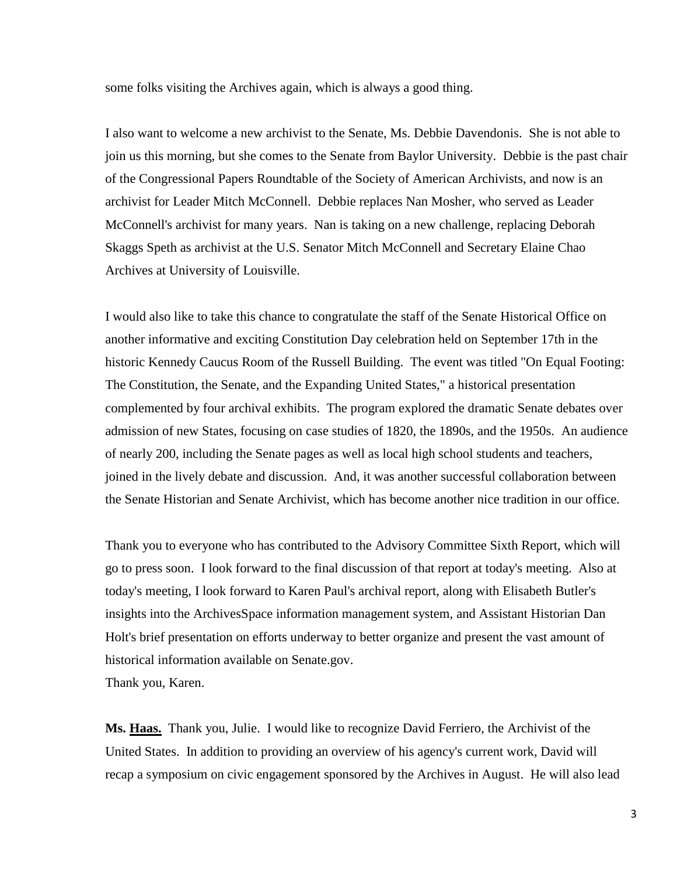some folks visiting the Archives again, which is always a good thing.

I also want to welcome a new archivist to the Senate, Ms. Debbie Davendonis. She is not able to join us this morning, but she comes to the Senate from Baylor University. Debbie is the past chair of the Congressional Papers Roundtable of the Society of American Archivists, and now is an archivist for Leader Mitch McConnell. Debbie replaces Nan Mosher, who served as Leader McConnell's archivist for many years. Nan is taking on a new challenge, replacing Deborah Skaggs Speth as archivist at the U.S. Senator Mitch McConnell and Secretary Elaine Chao Archives at University of Louisville.

I would also like to take this chance to congratulate the staff of the Senate Historical Office on another informative and exciting Constitution Day celebration held on September 17th in the historic Kennedy Caucus Room of the Russell Building. The event was titled "On Equal Footing: The Constitution, the Senate, and the Expanding United States," a historical presentation complemented by four archival exhibits. The program explored the dramatic Senate debates over admission of new States, focusing on case studies of 1820, the 1890s, and the 1950s. An audience of nearly 200, including the Senate pages as well as local high school students and teachers, joined in the lively debate and discussion. And, it was another successful collaboration between the Senate Historian and Senate Archivist, which has become another nice tradition in our office.

Thank you to everyone who has contributed to the Advisory Committee Sixth Report, which will go to press soon. I look forward to the final discussion of that report at today's meeting. Also at today's meeting, I look forward to Karen Paul's archival report, along with Elisabeth Butler's insights into the ArchivesSpace information management system, and Assistant Historian Dan Holt's brief presentation on efforts underway to better organize and present the vast amount of historical information available on Senate.gov. Thank you, Karen.

**Ms. Haas.** Thank you, Julie. I would like to recognize David Ferriero, the Archivist of the United States. In addition to providing an overview of his agency's current work, David will recap a symposium on civic engagement sponsored by the Archives in August. He will also lead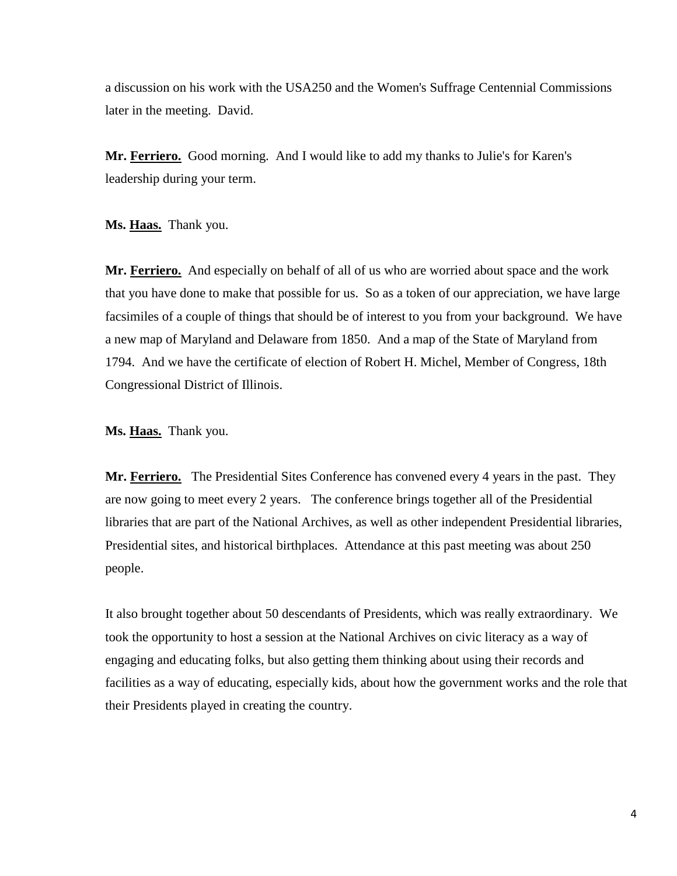a discussion on his work with the USA250 and the Women's Suffrage Centennial Commissions later in the meeting. David.

**Mr. Ferriero.** Good morning. And I would like to add my thanks to Julie's for Karen's leadership during your term.

**Ms. Haas.** Thank you.

**Mr. Ferriero.** And especially on behalf of all of us who are worried about space and the work that you have done to make that possible for us. So as a token of our appreciation, we have large facsimiles of a couple of things that should be of interest to you from your background. We have a new map of Maryland and Delaware from 1850. And a map of the State of Maryland from 1794. And we have the certificate of election of Robert H. Michel, Member of Congress, 18th Congressional District of Illinois.

**Ms. Haas.** Thank you.

**Mr. Ferriero.** The Presidential Sites Conference has convened every 4 years in the past. They are now going to meet every 2 years. The conference brings together all of the Presidential libraries that are part of the National Archives, as well as other independent Presidential libraries, Presidential sites, and historical birthplaces. Attendance at this past meeting was about 250 people.

It also brought together about 50 descendants of Presidents, which was really extraordinary. We took the opportunity to host a session at the National Archives on civic literacy as a way of engaging and educating folks, but also getting them thinking about using their records and facilities as a way of educating, especially kids, about how the government works and the role that their Presidents played in creating the country.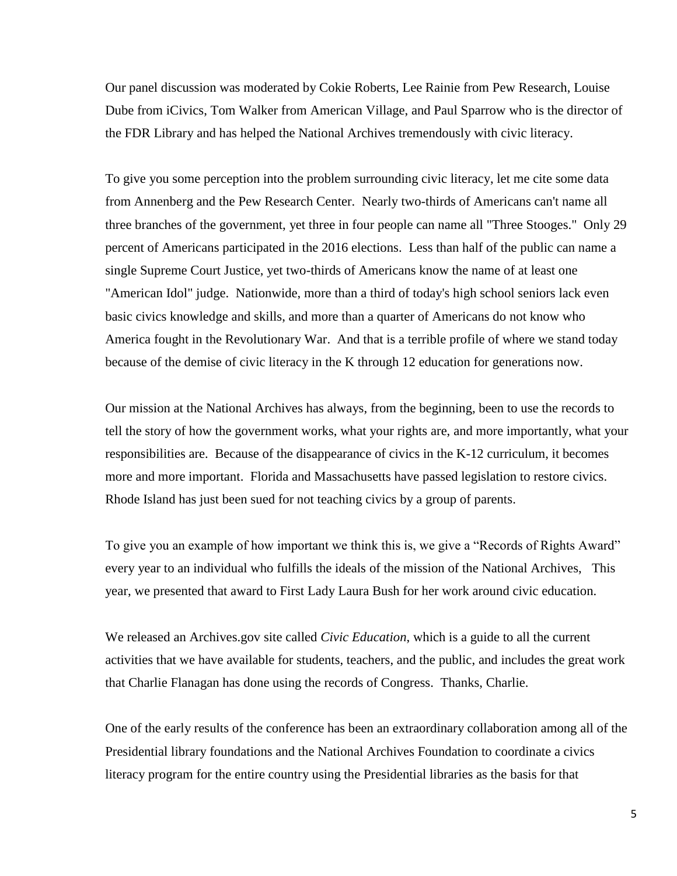Our panel discussion was moderated by Cokie Roberts, Lee Rainie from Pew Research, Louise Dube from iCivics, Tom Walker from American Village, and Paul Sparrow who is the director of the FDR Library and has helped the National Archives tremendously with civic literacy.

To give you some perception into the problem surrounding civic literacy, let me cite some data from Annenberg and the Pew Research Center. Nearly two-thirds of Americans can't name all three branches of the government, yet three in four people can name all "Three Stooges." Only 29 percent of Americans participated in the 2016 elections. Less than half of the public can name a single Supreme Court Justice, yet two-thirds of Americans know the name of at least one "American Idol" judge. Nationwide, more than a third of today's high school seniors lack even basic civics knowledge and skills, and more than a quarter of Americans do not know who America fought in the Revolutionary War. And that is a terrible profile of where we stand today because of the demise of civic literacy in the K through 12 education for generations now.

Our mission at the National Archives has always, from the beginning, been to use the records to tell the story of how the government works, what your rights are, and more importantly, what your responsibilities are. Because of the disappearance of civics in the K-12 curriculum, it becomes more and more important. Florida and Massachusetts have passed legislation to restore civics. Rhode Island has just been sued for not teaching civics by a group of parents.

To give you an example of how important we think this is, we give a "Records of Rights Award" every year to an individual who fulfills the ideals of the mission of the National Archives, This year, we presented that award to First Lady Laura Bush for her work around civic education.

We released an Archives.gov site called *Civic Education*, which is a guide to all the current activities that we have available for students, teachers, and the public, and includes the great work that Charlie Flanagan has done using the records of Congress. Thanks, Charlie.

One of the early results of the conference has been an extraordinary collaboration among all of the Presidential library foundations and the National Archives Foundation to coordinate a civics literacy program for the entire country using the Presidential libraries as the basis for that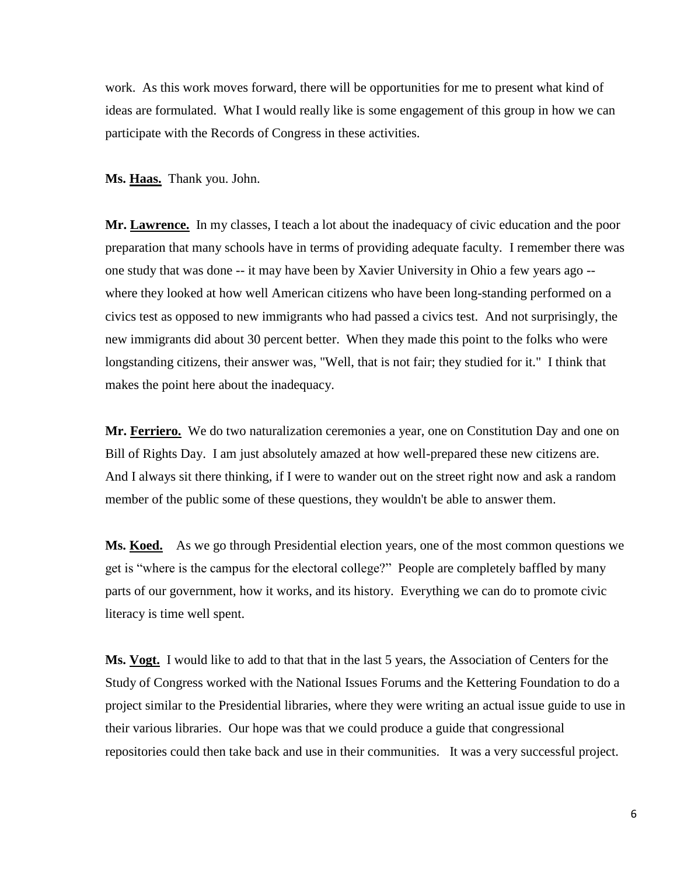work. As this work moves forward, there will be opportunities for me to present what kind of ideas are formulated. What I would really like is some engagement of this group in how we can participate with the Records of Congress in these activities.

**Ms. Haas.** Thank you. John.

**Mr. Lawrence.** In my classes, I teach a lot about the inadequacy of civic education and the poor preparation that many schools have in terms of providing adequate faculty. I remember there was one study that was done -- it may have been by Xavier University in Ohio a few years ago - where they looked at how well American citizens who have been long-standing performed on a civics test as opposed to new immigrants who had passed a civics test. And not surprisingly, the new immigrants did about 30 percent better. When they made this point to the folks who were longstanding citizens, their answer was, "Well, that is not fair; they studied for it." I think that makes the point here about the inadequacy.

Mr. Ferriero. We do two naturalization ceremonies a year, one on Constitution Day and one on Bill of Rights Day. I am just absolutely amazed at how well-prepared these new citizens are. And I always sit there thinking, if I were to wander out on the street right now and ask a random member of the public some of these questions, they wouldn't be able to answer them.

**Ms. Koed.** As we go through Presidential election years, one of the most common questions we get is "where is the campus for the electoral college?" People are completely baffled by many parts of our government, how it works, and its history. Everything we can do to promote civic literacy is time well spent.

**Ms. Vogt.** I would like to add to that that in the last 5 years, the Association of Centers for the Study of Congress worked with the National Issues Forums and the Kettering Foundation to do a project similar to the Presidential libraries, where they were writing an actual issue guide to use in their various libraries. Our hope was that we could produce a guide that congressional repositories could then take back and use in their communities. It was a very successful project.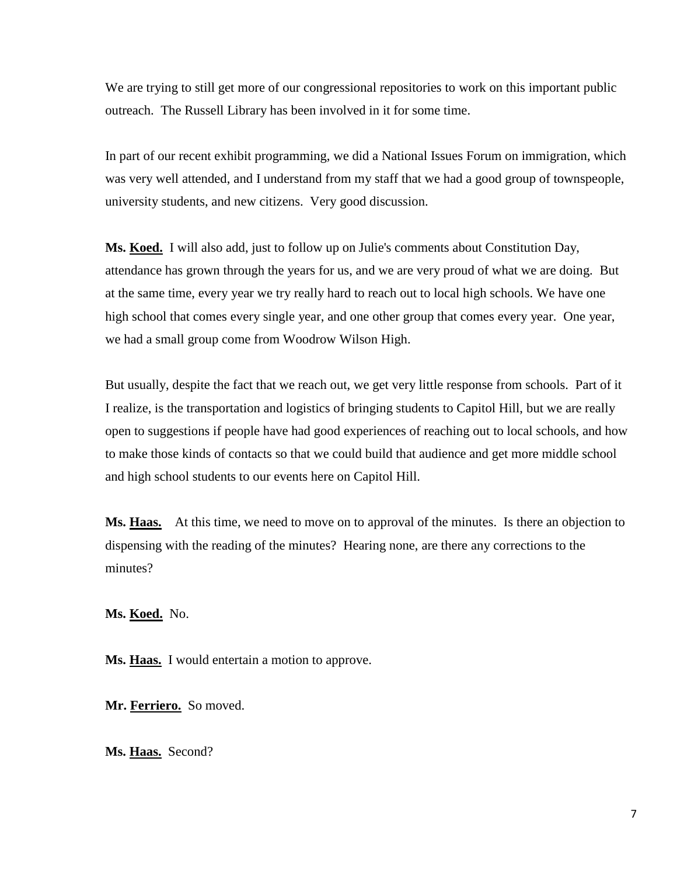We are trying to still get more of our congressional repositories to work on this important public outreach. The Russell Library has been involved in it for some time.

In part of our recent exhibit programming, we did a National Issues Forum on immigration, which was very well attended, and I understand from my staff that we had a good group of townspeople, university students, and new citizens. Very good discussion.

**Ms. Koed.** I will also add, just to follow up on Julie's comments about Constitution Day, attendance has grown through the years for us, and we are very proud of what we are doing. But at the same time, every year we try really hard to reach out to local high schools. We have one high school that comes every single year, and one other group that comes every year. One year, we had a small group come from Woodrow Wilson High.

But usually, despite the fact that we reach out, we get very little response from schools. Part of it I realize, is the transportation and logistics of bringing students to Capitol Hill, but we are really open to suggestions if people have had good experiences of reaching out to local schools, and how to make those kinds of contacts so that we could build that audience and get more middle school and high school students to our events here on Capitol Hill.

**Ms. Haas.** At this time, we need to move on to approval of the minutes. Is there an objection to dispensing with the reading of the minutes? Hearing none, are there any corrections to the minutes?

**Ms. Koed.** No.

Ms. **Haas.** I would entertain a motion to approve.

**Mr. Ferriero.** So moved.

**Ms. Haas.** Second?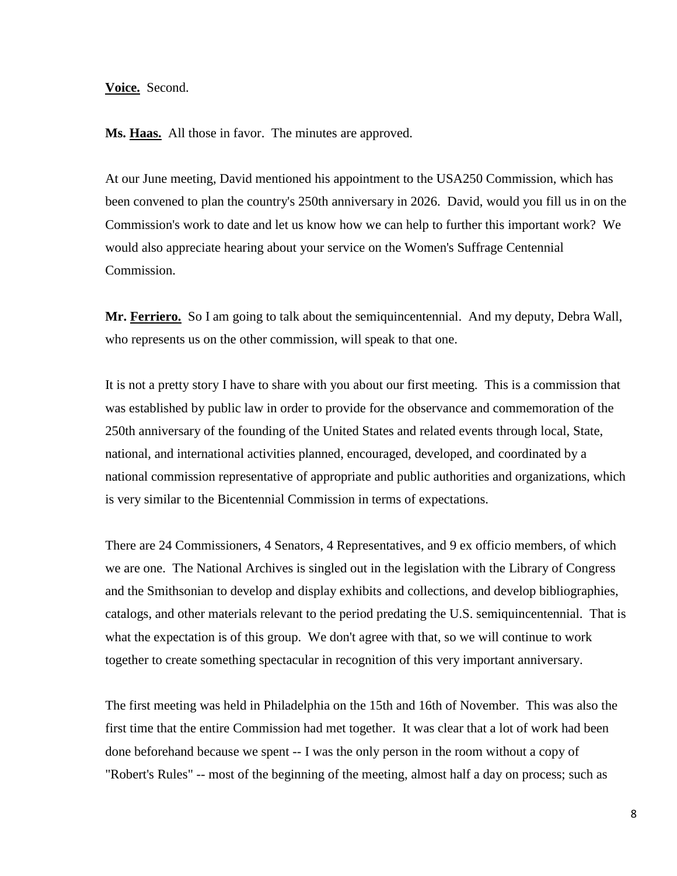## **Voice.** Second.

**Ms. Haas.** All those in favor. The minutes are approved.

At our June meeting, David mentioned his appointment to the USA250 Commission, which has been convened to plan the country's 250th anniversary in 2026. David, would you fill us in on the Commission's work to date and let us know how we can help to further this important work? We would also appreciate hearing about your service on the Women's Suffrage Centennial Commission.

**Mr. Ferriero.** So I am going to talk about the semiquincentennial. And my deputy, Debra Wall, who represents us on the other commission, will speak to that one.

It is not a pretty story I have to share with you about our first meeting. This is a commission that was established by public law in order to provide for the observance and commemoration of the 250th anniversary of the founding of the United States and related events through local, State, national, and international activities planned, encouraged, developed, and coordinated by a national commission representative of appropriate and public authorities and organizations, which is very similar to the Bicentennial Commission in terms of expectations.

There are 24 Commissioners, 4 Senators, 4 Representatives, and 9 ex officio members, of which we are one. The National Archives is singled out in the legislation with the Library of Congress and the Smithsonian to develop and display exhibits and collections, and develop bibliographies, catalogs, and other materials relevant to the period predating the U.S. semiquincentennial. That is what the expectation is of this group. We don't agree with that, so we will continue to work together to create something spectacular in recognition of this very important anniversary.

The first meeting was held in Philadelphia on the 15th and 16th of November. This was also the first time that the entire Commission had met together. It was clear that a lot of work had been done beforehand because we spent -- I was the only person in the room without a copy of "Robert's Rules" -- most of the beginning of the meeting, almost half a day on process; such as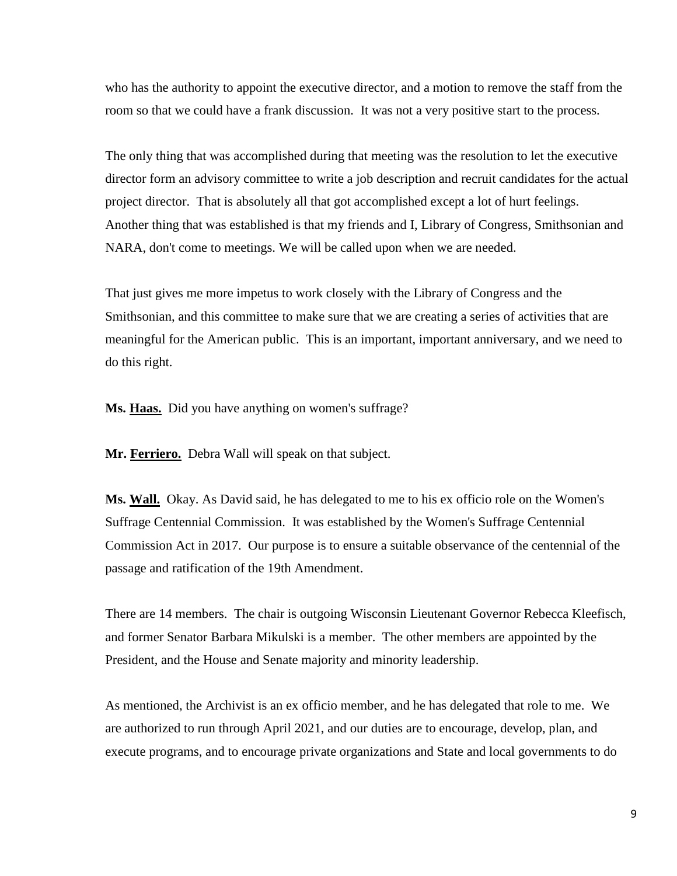who has the authority to appoint the executive director, and a motion to remove the staff from the room so that we could have a frank discussion. It was not a very positive start to the process.

The only thing that was accomplished during that meeting was the resolution to let the executive director form an advisory committee to write a job description and recruit candidates for the actual project director. That is absolutely all that got accomplished except a lot of hurt feelings. Another thing that was established is that my friends and I, Library of Congress, Smithsonian and NARA, don't come to meetings. We will be called upon when we are needed.

That just gives me more impetus to work closely with the Library of Congress and the Smithsonian, and this committee to make sure that we are creating a series of activities that are meaningful for the American public. This is an important, important anniversary, and we need to do this right.

**Ms. Haas.** Did you have anything on women's suffrage?

**Mr. Ferriero.** Debra Wall will speak on that subject.

Ms. Wall. Okay. As David said, he has delegated to me to his ex officio role on the Women's Suffrage Centennial Commission. It was established by the Women's Suffrage Centennial Commission Act in 2017. Our purpose is to ensure a suitable observance of the centennial of the passage and ratification of the 19th Amendment.

There are 14 members. The chair is outgoing Wisconsin Lieutenant Governor Rebecca Kleefisch, and former Senator Barbara Mikulski is a member. The other members are appointed by the President, and the House and Senate majority and minority leadership.

As mentioned, the Archivist is an ex officio member, and he has delegated that role to me. We are authorized to run through April 2021, and our duties are to encourage, develop, plan, and execute programs, and to encourage private organizations and State and local governments to do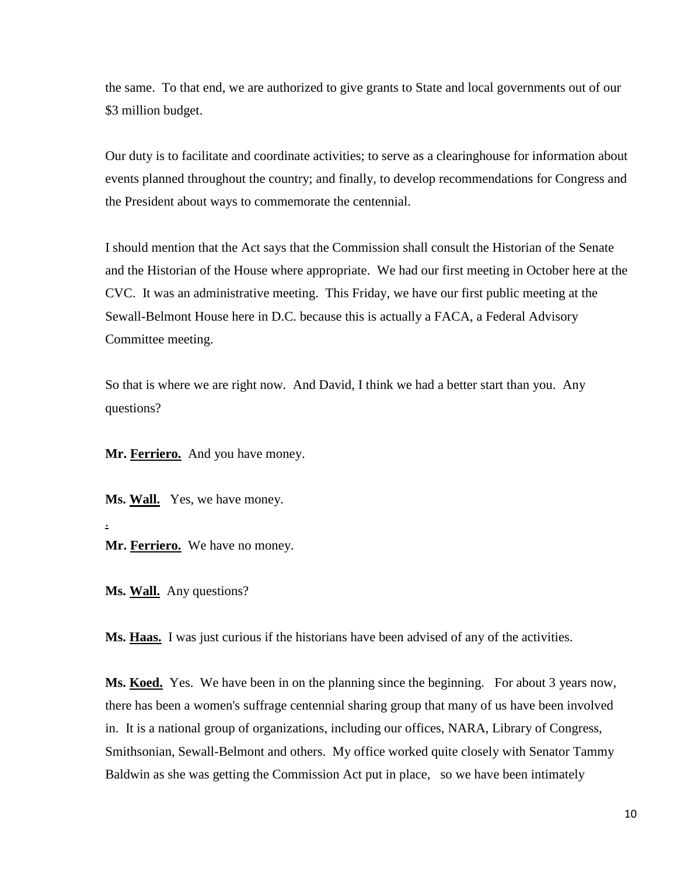the same. To that end, we are authorized to give grants to State and local governments out of our \$3 million budget.

Our duty is to facilitate and coordinate activities; to serve as a clearinghouse for information about events planned throughout the country; and finally, to develop recommendations for Congress and the President about ways to commemorate the centennial.

I should mention that the Act says that the Commission shall consult the Historian of the Senate and the Historian of the House where appropriate. We had our first meeting in October here at the CVC. It was an administrative meeting. This Friday, we have our first public meeting at the Sewall-Belmont House here in D.C. because this is actually a FACA, a Federal Advisory Committee meeting.

So that is where we are right now. And David, I think we had a better start than you. Any questions?

**Mr. Ferriero.** And you have money.

**Ms. Wall.** Yes, we have money.

**Mr. Ferriero.** We have no money.

Ms. Wall. Any questions?

.

**Ms. Haas.** I was just curious if the historians have been advised of any of the activities.

**Ms. Koed.** Yes. We have been in on the planning since the beginning. For about 3 years now, there has been a women's suffrage centennial sharing group that many of us have been involved in. It is a national group of organizations, including our offices, NARA, Library of Congress, Smithsonian, Sewall-Belmont and others. My office worked quite closely with Senator Tammy Baldwin as she was getting the Commission Act put in place, so we have been intimately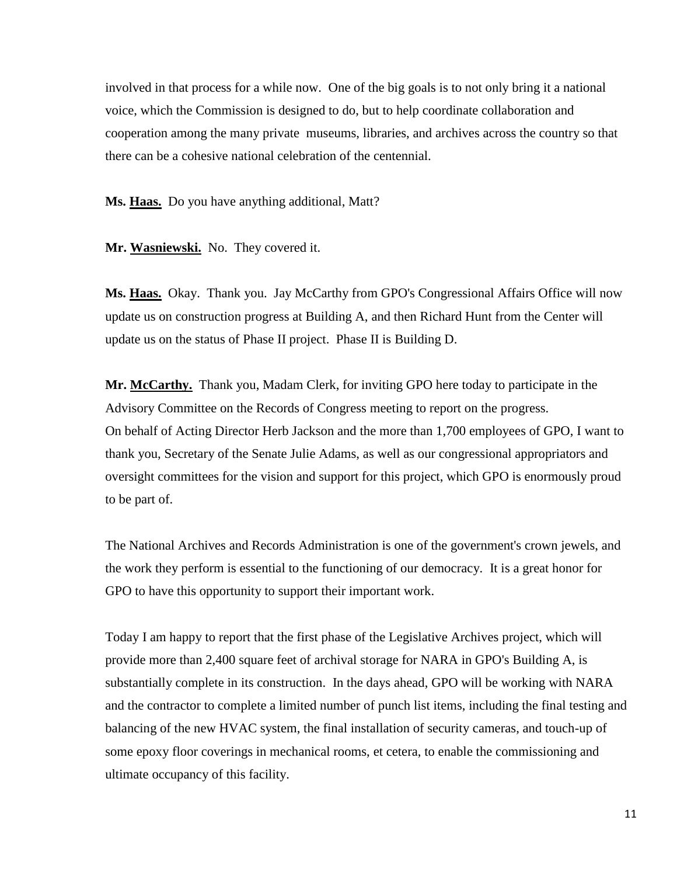involved in that process for a while now. One of the big goals is to not only bring it a national voice, which the Commission is designed to do, but to help coordinate collaboration and cooperation among the many private museums, libraries, and archives across the country so that there can be a cohesive national celebration of the centennial.

**Ms. Haas.** Do you have anything additional, Matt?

**Mr. Wasniewski.** No. They covered it.

**Ms. Haas.** Okay. Thank you. Jay McCarthy from GPO's Congressional Affairs Office will now update us on construction progress at Building A, and then Richard Hunt from the Center will update us on the status of Phase II project. Phase II is Building D.

**Mr. McCarthy.** Thank you, Madam Clerk, for inviting GPO here today to participate in the Advisory Committee on the Records of Congress meeting to report on the progress. On behalf of Acting Director Herb Jackson and the more than 1,700 employees of GPO, I want to thank you, Secretary of the Senate Julie Adams, as well as our congressional appropriators and oversight committees for the vision and support for this project, which GPO is enormously proud to be part of.

The National Archives and Records Administration is one of the government's crown jewels, and the work they perform is essential to the functioning of our democracy. It is a great honor for GPO to have this opportunity to support their important work.

Today I am happy to report that the first phase of the Legislative Archives project, which will provide more than 2,400 square feet of archival storage for NARA in GPO's Building A, is substantially complete in its construction. In the days ahead, GPO will be working with NARA and the contractor to complete a limited number of punch list items, including the final testing and balancing of the new HVAC system, the final installation of security cameras, and touch-up of some epoxy floor coverings in mechanical rooms, et cetera, to enable the commissioning and ultimate occupancy of this facility.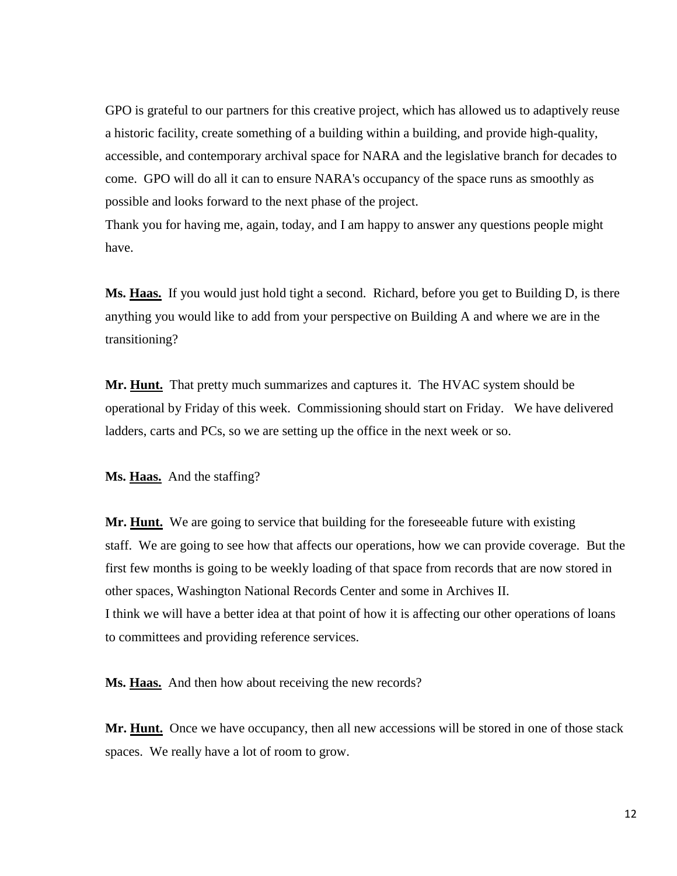GPO is grateful to our partners for this creative project, which has allowed us to adaptively reuse a historic facility, create something of a building within a building, and provide high-quality, accessible, and contemporary archival space for NARA and the legislative branch for decades to come. GPO will do all it can to ensure NARA's occupancy of the space runs as smoothly as possible and looks forward to the next phase of the project.

Thank you for having me, again, today, and I am happy to answer any questions people might have.

**Ms. Haas.** If you would just hold tight a second. Richard, before you get to Building D, is there anything you would like to add from your perspective on Building A and where we are in the transitioning?

**Mr. Hunt.** That pretty much summarizes and captures it. The HVAC system should be operational by Friday of this week. Commissioning should start on Friday. We have delivered ladders, carts and PCs, so we are setting up the office in the next week or so.

**Ms. Haas.** And the staffing?

Mr. **Hunt.** We are going to service that building for the foreseeable future with existing staff. We are going to see how that affects our operations, how we can provide coverage. But the first few months is going to be weekly loading of that space from records that are now stored in other spaces, Washington National Records Center and some in Archives II. I think we will have a better idea at that point of how it is affecting our other operations of loans to committees and providing reference services.

**Ms. Haas.** And then how about receiving the new records?

**Mr. Hunt.** Once we have occupancy, then all new accessions will be stored in one of those stack spaces. We really have a lot of room to grow.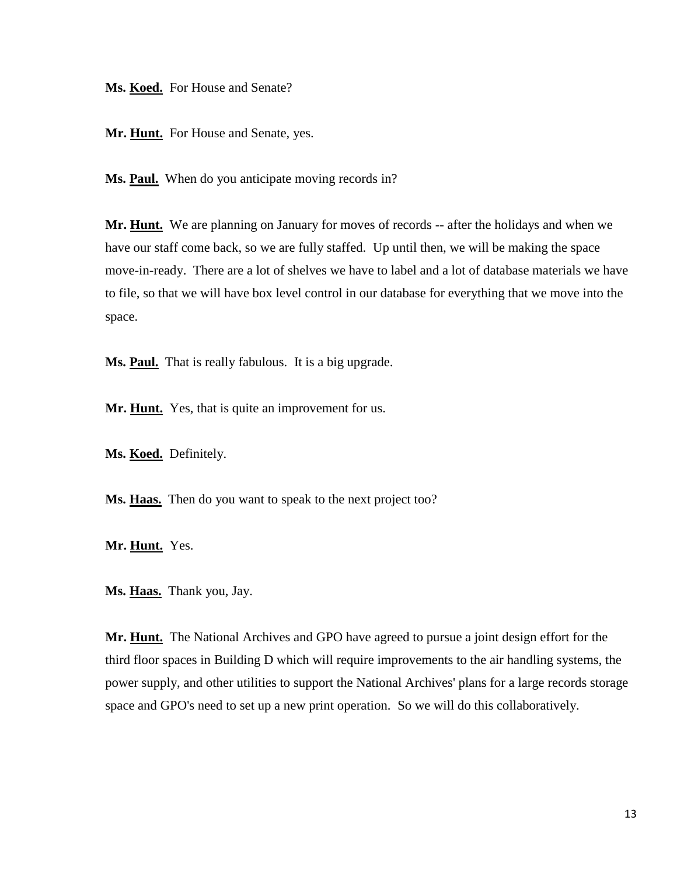Ms. **Koed.** For House and Senate?

Mr. Hunt. For House and Senate, yes.

Ms. **Paul.** When do you anticipate moving records in?

Mr. **Hunt.** We are planning on January for moves of records -- after the holidays and when we have our staff come back, so we are fully staffed. Up until then, we will be making the space move-in-ready. There are a lot of shelves we have to label and a lot of database materials we have to file, so that we will have box level control in our database for everything that we move into the space.

**Ms. Paul.** That is really fabulous. It is a big upgrade.

Mr. Hunt. Yes, that is quite an improvement for us.

**Ms. Koed.** Definitely.

**Ms. Haas.** Then do you want to speak to the next project too?

**Mr. Hunt.** Yes.

**Ms. Haas.** Thank you, Jay.

**Mr. Hunt.** The National Archives and GPO have agreed to pursue a joint design effort for the third floor spaces in Building D which will require improvements to the air handling systems, the power supply, and other utilities to support the National Archives' plans for a large records storage space and GPO's need to set up a new print operation. So we will do this collaboratively.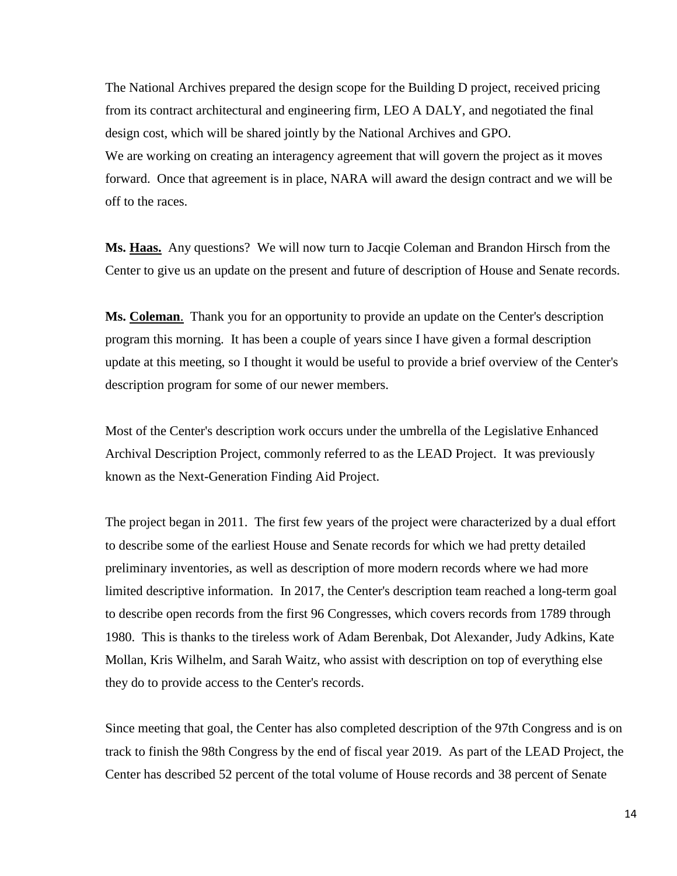The National Archives prepared the design scope for the Building D project, received pricing from its contract architectural and engineering firm, LEO A DALY, and negotiated the final design cost, which will be shared jointly by the National Archives and GPO. We are working on creating an interagency agreement that will govern the project as it moves forward. Once that agreement is in place, NARA will award the design contract and we will be off to the races.

**Ms. Haas.** Any questions? We will now turn to Jacqie Coleman and Brandon Hirsch from the Center to give us an update on the present and future of description of House and Senate records.

**Ms. Coleman**. Thank you for an opportunity to provide an update on the Center's description program this morning. It has been a couple of years since I have given a formal description update at this meeting, so I thought it would be useful to provide a brief overview of the Center's description program for some of our newer members.

Most of the Center's description work occurs under the umbrella of the Legislative Enhanced Archival Description Project, commonly referred to as the LEAD Project. It was previously known as the Next-Generation Finding Aid Project.

The project began in 2011. The first few years of the project were characterized by a dual effort to describe some of the earliest House and Senate records for which we had pretty detailed preliminary inventories, as well as description of more modern records where we had more limited descriptive information. In 2017, the Center's description team reached a long-term goal to describe open records from the first 96 Congresses, which covers records from 1789 through 1980. This is thanks to the tireless work of Adam Berenbak, Dot Alexander, Judy Adkins, Kate Mollan, Kris Wilhelm, and Sarah Waitz, who assist with description on top of everything else they do to provide access to the Center's records.

Since meeting that goal, the Center has also completed description of the 97th Congress and is on track to finish the 98th Congress by the end of fiscal year 2019. As part of the LEAD Project, the Center has described 52 percent of the total volume of House records and 38 percent of Senate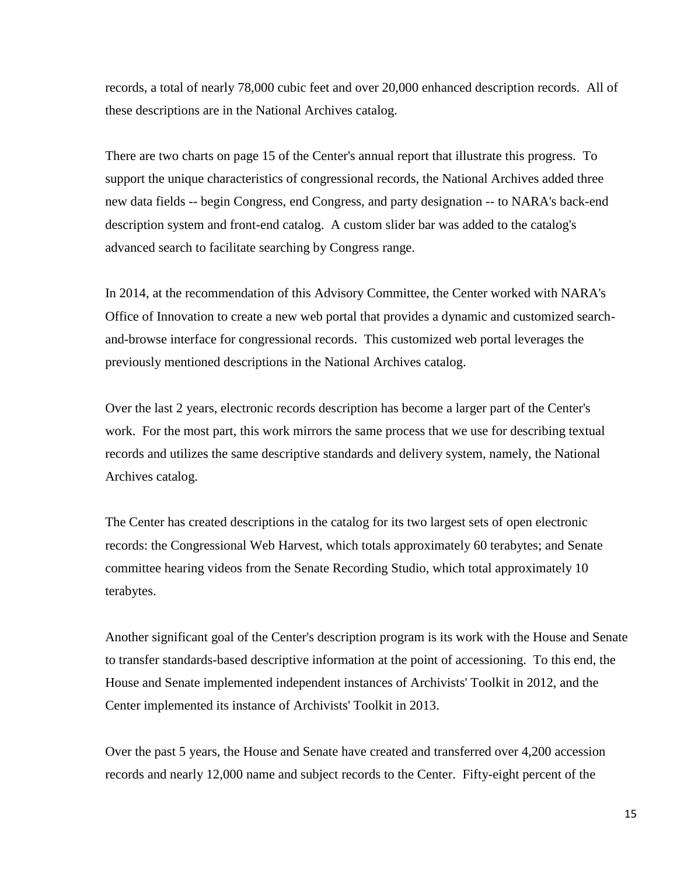records, a total of nearly 78,000 cubic feet and over 20,000 enhanced description records. All of these descriptions are in the National Archives catalog.

There are two charts on page 15 of the Center's annual report that illustrate this progress. To support the unique characteristics of congressional records, the National Archives added three new data fields -- begin Congress, end Congress, and party designation -- to NARA's back-end description system and front-end catalog. A custom slider bar was added to the catalog's advanced search to facilitate searching by Congress range.

In 2014, at the recommendation of this Advisory Committee, the Center worked with NARA's Office of Innovation to create a new web portal that provides a dynamic and customized searchand-browse interface for congressional records. This customized web portal leverages the previously mentioned descriptions in the National Archives catalog.

Over the last 2 years, electronic records description has become a larger part of the Center's work. For the most part, this work mirrors the same process that we use for describing textual records and utilizes the same descriptive standards and delivery system, namely, the National Archives catalog.

The Center has created descriptions in the catalog for its two largest sets of open electronic records: the Congressional Web Harvest, which totals approximately 60 terabytes; and Senate committee hearing videos from the Senate Recording Studio, which total approximately 10 terabytes.

Another significant goal of the Center's description program is its work with the House and Senate to transfer standards-based descriptive information at the point of accessioning. To this end, the House and Senate implemented independent instances of Archivists' Toolkit in 2012, and the Center implemented its instance of Archivists' Toolkit in 2013.

Over the past 5 years, the House and Senate have created and transferred over 4,200 accession records and nearly 12,000 name and subject records to the Center. Fifty-eight percent of the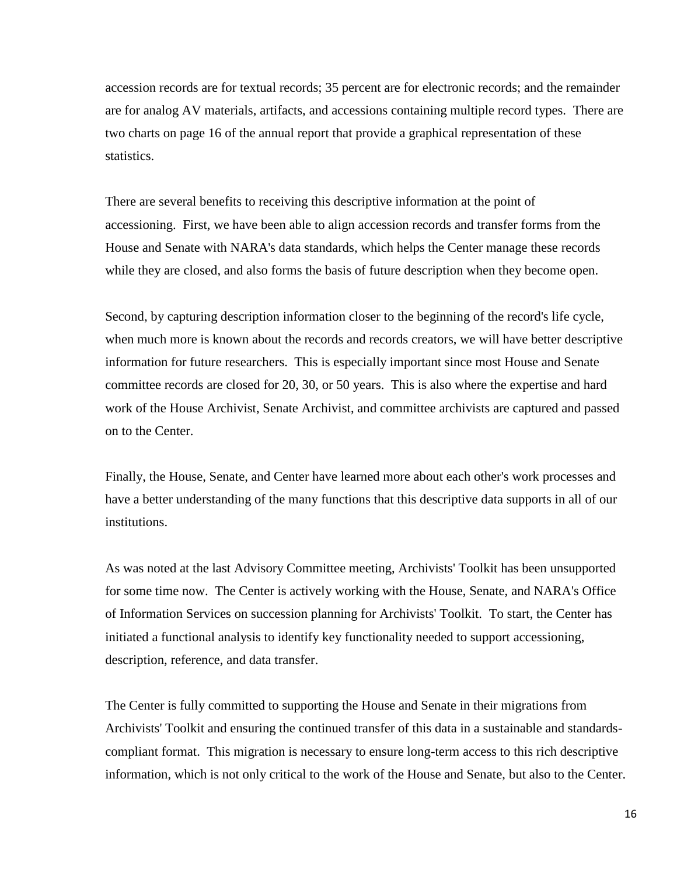accession records are for textual records; 35 percent are for electronic records; and the remainder are for analog AV materials, artifacts, and accessions containing multiple record types. There are two charts on page 16 of the annual report that provide a graphical representation of these statistics.

There are several benefits to receiving this descriptive information at the point of accessioning. First, we have been able to align accession records and transfer forms from the House and Senate with NARA's data standards, which helps the Center manage these records while they are closed, and also forms the basis of future description when they become open.

Second, by capturing description information closer to the beginning of the record's life cycle, when much more is known about the records and records creators, we will have better descriptive information for future researchers. This is especially important since most House and Senate committee records are closed for 20, 30, or 50 years. This is also where the expertise and hard work of the House Archivist, Senate Archivist, and committee archivists are captured and passed on to the Center.

Finally, the House, Senate, and Center have learned more about each other's work processes and have a better understanding of the many functions that this descriptive data supports in all of our institutions.

As was noted at the last Advisory Committee meeting, Archivists' Toolkit has been unsupported for some time now. The Center is actively working with the House, Senate, and NARA's Office of Information Services on succession planning for Archivists' Toolkit. To start, the Center has initiated a functional analysis to identify key functionality needed to support accessioning, description, reference, and data transfer.

The Center is fully committed to supporting the House and Senate in their migrations from Archivists' Toolkit and ensuring the continued transfer of this data in a sustainable and standardscompliant format. This migration is necessary to ensure long-term access to this rich descriptive information, which is not only critical to the work of the House and Senate, but also to the Center.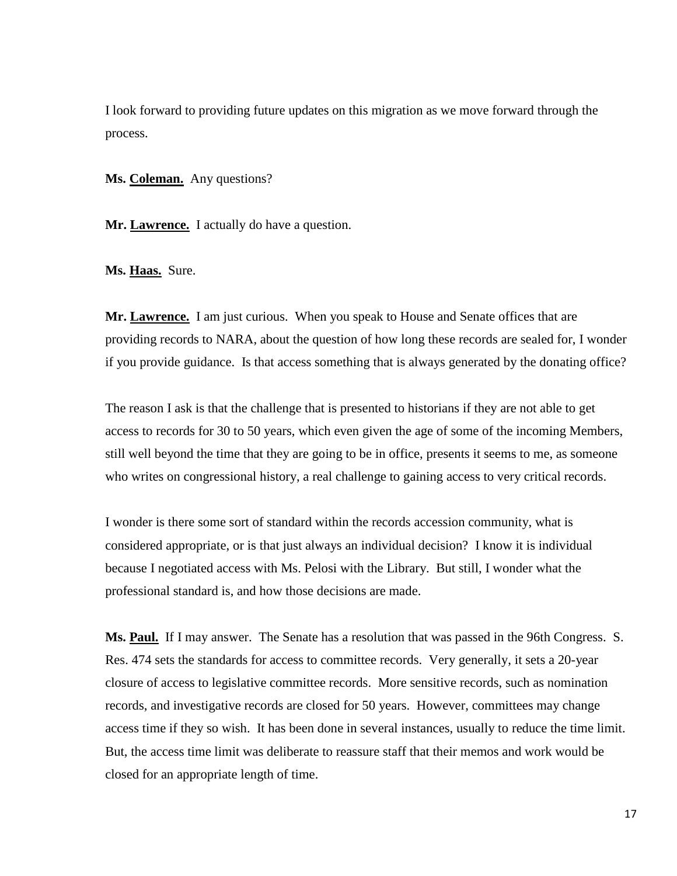I look forward to providing future updates on this migration as we move forward through the process.

**Ms. Coleman.** Any questions?

Mr. **Lawrence.** I actually do have a question.

**Ms. Haas.** Sure.

**Mr. Lawrence.** I am just curious. When you speak to House and Senate offices that are providing records to NARA, about the question of how long these records are sealed for, I wonder if you provide guidance. Is that access something that is always generated by the donating office?

The reason I ask is that the challenge that is presented to historians if they are not able to get access to records for 30 to 50 years, which even given the age of some of the incoming Members, still well beyond the time that they are going to be in office, presents it seems to me, as someone who writes on congressional history, a real challenge to gaining access to very critical records.

I wonder is there some sort of standard within the records accession community, what is considered appropriate, or is that just always an individual decision? I know it is individual because I negotiated access with Ms. Pelosi with the Library. But still, I wonder what the professional standard is, and how those decisions are made.

**Ms. Paul.** If I may answer. The Senate has a resolution that was passed in the 96th Congress. S. Res. 474 sets the standards for access to committee records. Very generally, it sets a 20-year closure of access to legislative committee records. More sensitive records, such as nomination records, and investigative records are closed for 50 years. However, committees may change access time if they so wish. It has been done in several instances, usually to reduce the time limit. But, the access time limit was deliberate to reassure staff that their memos and work would be closed for an appropriate length of time.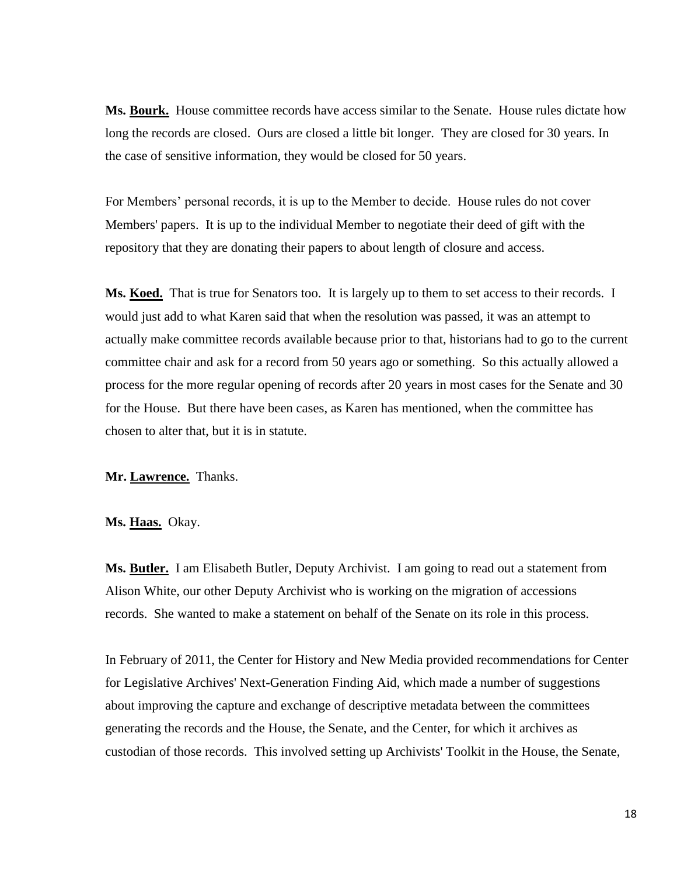**Ms. Bourk.** House committee records have access similar to the Senate. House rules dictate how long the records are closed. Ours are closed a little bit longer. They are closed for 30 years. In the case of sensitive information, they would be closed for 50 years.

For Members' personal records, it is up to the Member to decide. House rules do not cover Members' papers. It is up to the individual Member to negotiate their deed of gift with the repository that they are donating their papers to about length of closure and access.

**Ms. Koed.** That is true for Senators too. It is largely up to them to set access to their records. I would just add to what Karen said that when the resolution was passed, it was an attempt to actually make committee records available because prior to that, historians had to go to the current committee chair and ask for a record from 50 years ago or something. So this actually allowed a process for the more regular opening of records after 20 years in most cases for the Senate and 30 for the House. But there have been cases, as Karen has mentioned, when the committee has chosen to alter that, but it is in statute.

## **Mr. Lawrence.** Thanks.

## **Ms. Haas.** Okay.

**Ms. Butler.** I am Elisabeth Butler, Deputy Archivist. I am going to read out a statement from Alison White, our other Deputy Archivist who is working on the migration of accessions records. She wanted to make a statement on behalf of the Senate on its role in this process.

In February of 2011, the Center for History and New Media provided recommendations for Center for Legislative Archives' Next-Generation Finding Aid, which made a number of suggestions about improving the capture and exchange of descriptive metadata between the committees generating the records and the House, the Senate, and the Center, for which it archives as custodian of those records. This involved setting up Archivists' Toolkit in the House, the Senate,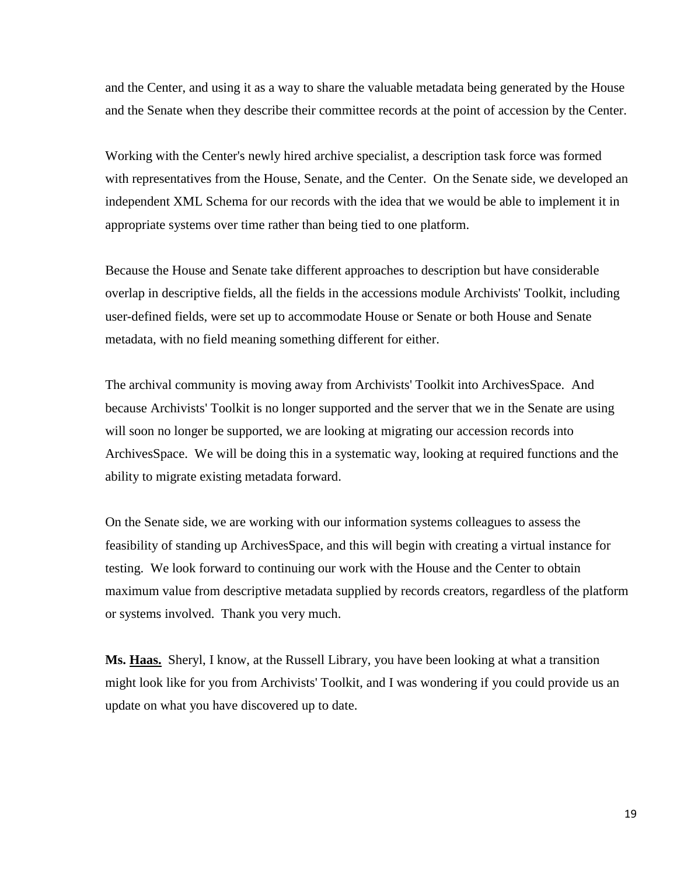and the Center, and using it as a way to share the valuable metadata being generated by the House and the Senate when they describe their committee records at the point of accession by the Center.

Working with the Center's newly hired archive specialist, a description task force was formed with representatives from the House, Senate, and the Center. On the Senate side, we developed an independent XML Schema for our records with the idea that we would be able to implement it in appropriate systems over time rather than being tied to one platform.

Because the House and Senate take different approaches to description but have considerable overlap in descriptive fields, all the fields in the accessions module Archivists' Toolkit, including user-defined fields, were set up to accommodate House or Senate or both House and Senate metadata, with no field meaning something different for either.

The archival community is moving away from Archivists' Toolkit into ArchivesSpace. And because Archivists' Toolkit is no longer supported and the server that we in the Senate are using will soon no longer be supported, we are looking at migrating our accession records into ArchivesSpace. We will be doing this in a systematic way, looking at required functions and the ability to migrate existing metadata forward.

On the Senate side, we are working with our information systems colleagues to assess the feasibility of standing up ArchivesSpace, and this will begin with creating a virtual instance for testing. We look forward to continuing our work with the House and the Center to obtain maximum value from descriptive metadata supplied by records creators, regardless of the platform or systems involved. Thank you very much.

**Ms. Haas.** Sheryl, I know, at the Russell Library, you have been looking at what a transition might look like for you from Archivists' Toolkit, and I was wondering if you could provide us an update on what you have discovered up to date.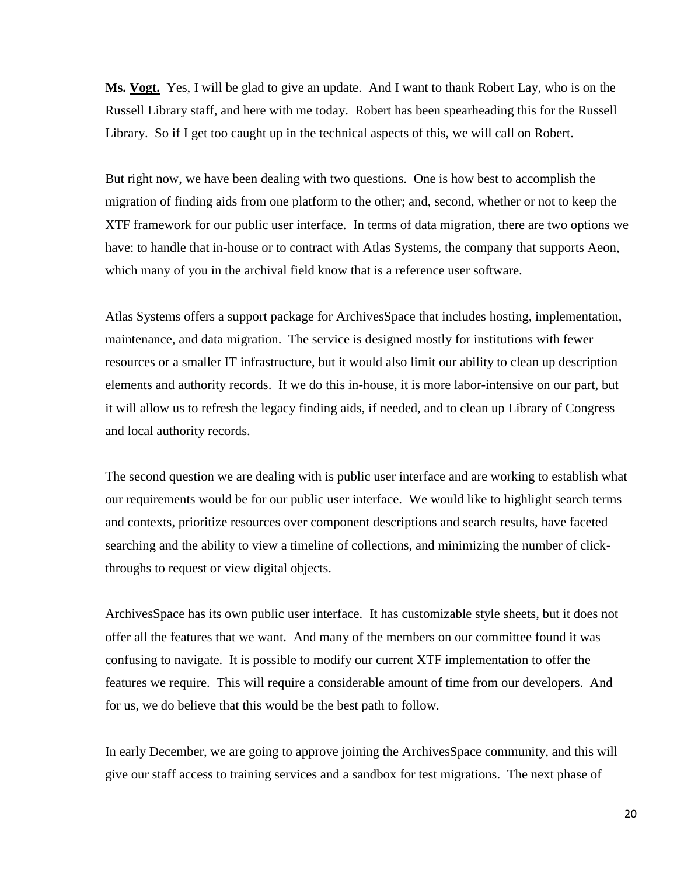**Ms. Vogt.** Yes, I will be glad to give an update. And I want to thank Robert Lay, who is on the Russell Library staff, and here with me today. Robert has been spearheading this for the Russell Library. So if I get too caught up in the technical aspects of this, we will call on Robert.

But right now, we have been dealing with two questions. One is how best to accomplish the migration of finding aids from one platform to the other; and, second, whether or not to keep the XTF framework for our public user interface. In terms of data migration, there are two options we have: to handle that in-house or to contract with Atlas Systems, the company that supports Aeon, which many of you in the archival field know that is a reference user software.

Atlas Systems offers a support package for ArchivesSpace that includes hosting, implementation, maintenance, and data migration. The service is designed mostly for institutions with fewer resources or a smaller IT infrastructure, but it would also limit our ability to clean up description elements and authority records. If we do this in-house, it is more labor-intensive on our part, but it will allow us to refresh the legacy finding aids, if needed, and to clean up Library of Congress and local authority records.

The second question we are dealing with is public user interface and are working to establish what our requirements would be for our public user interface. We would like to highlight search terms and contexts, prioritize resources over component descriptions and search results, have faceted searching and the ability to view a timeline of collections, and minimizing the number of clickthroughs to request or view digital objects.

ArchivesSpace has its own public user interface. It has customizable style sheets, but it does not offer all the features that we want. And many of the members on our committee found it was confusing to navigate. It is possible to modify our current XTF implementation to offer the features we require. This will require a considerable amount of time from our developers. And for us, we do believe that this would be the best path to follow.

In early December, we are going to approve joining the ArchivesSpace community, and this will give our staff access to training services and a sandbox for test migrations. The next phase of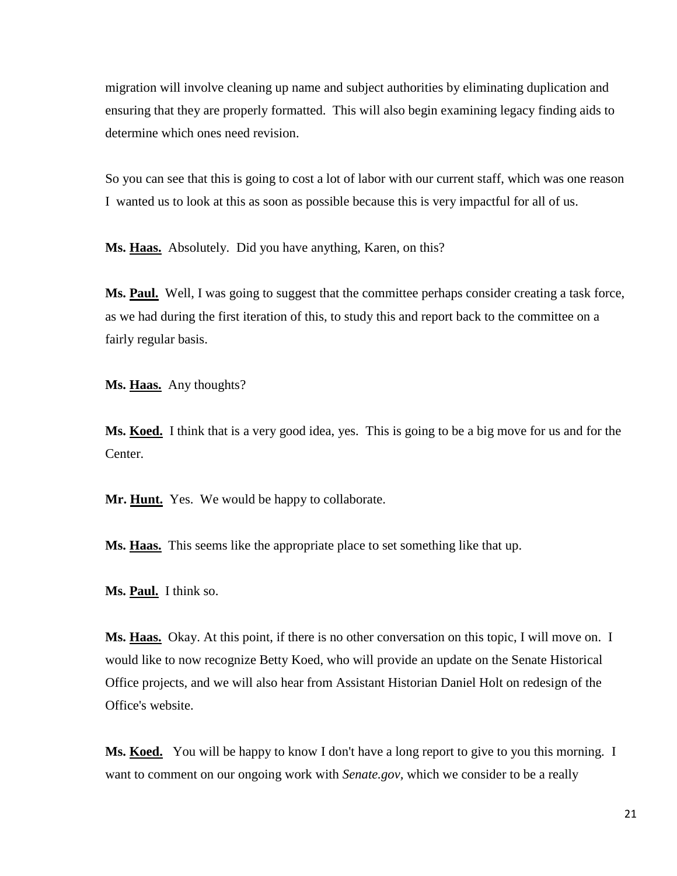migration will involve cleaning up name and subject authorities by eliminating duplication and ensuring that they are properly formatted. This will also begin examining legacy finding aids to determine which ones need revision.

So you can see that this is going to cost a lot of labor with our current staff, which was one reason I wanted us to look at this as soon as possible because this is very impactful for all of us.

**Ms. Haas.** Absolutely. Did you have anything, Karen, on this?

Ms. **Paul.** Well, I was going to suggest that the committee perhaps consider creating a task force, as we had during the first iteration of this, to study this and report back to the committee on a fairly regular basis.

**Ms. Haas.** Any thoughts?

**Ms. Koed.** I think that is a very good idea, yes. This is going to be a big move for us and for the Center.

**Mr. Hunt.** Yes. We would be happy to collaborate.

**Ms. Haas.** This seems like the appropriate place to set something like that up.

**Ms. Paul.** I think so.

**Ms. Haas.** Okay. At this point, if there is no other conversation on this topic, I will move on. I would like to now recognize Betty Koed, who will provide an update on the Senate Historical Office projects, and we will also hear from Assistant Historian Daniel Holt on redesign of the Office's website.

**Ms. Koed.** You will be happy to know I don't have a long report to give to you this morning. I want to comment on our ongoing work with *Senate.gov,* which we consider to be a really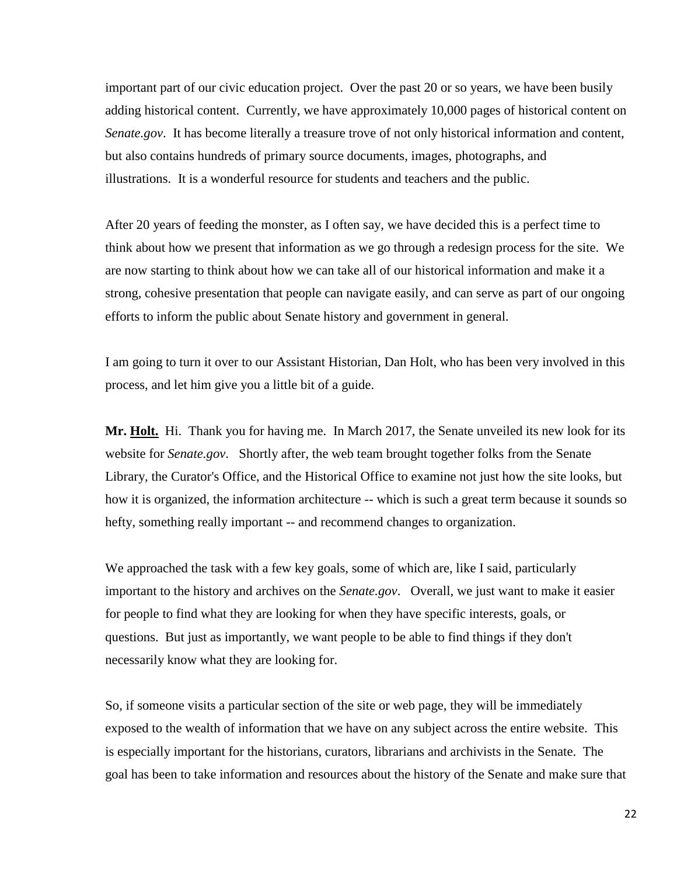important part of our civic education project. Over the past 20 or so years, we have been busily adding historical content. Currently, we have approximately 10,000 pages of historical content on *Senate.gov*. It has become literally a treasure trove of not only historical information and content, but also contains hundreds of primary source documents, images, photographs, and illustrations. It is a wonderful resource for students and teachers and the public.

After 20 years of feeding the monster, as I often say, we have decided this is a perfect time to think about how we present that information as we go through a redesign process for the site. We are now starting to think about how we can take all of our historical information and make it a strong, cohesive presentation that people can navigate easily, and can serve as part of our ongoing efforts to inform the public about Senate history and government in general.

I am going to turn it over to our Assistant Historian, Dan Holt, who has been very involved in this process, and let him give you a little bit of a guide.

**Mr. Holt.** Hi. Thank you for having me. In March 2017, the Senate unveiled its new look for its website for *Senate.gov.* Shortly after, the web team brought together folks from the Senate Library, the Curator's Office, and the Historical Office to examine not just how the site looks, but how it is organized, the information architecture -- which is such a great term because it sounds so hefty, something really important -- and recommend changes to organization.

We approached the task with a few key goals, some of which are, like I said, particularly important to the history and archives on the *Senate.gov*. Overall, we just want to make it easier for people to find what they are looking for when they have specific interests, goals, or questions. But just as importantly, we want people to be able to find things if they don't necessarily know what they are looking for.

So, if someone visits a particular section of the site or web page, they will be immediately exposed to the wealth of information that we have on any subject across the entire website. This is especially important for the historians, curators, librarians and archivists in the Senate. The goal has been to take information and resources about the history of the Senate and make sure that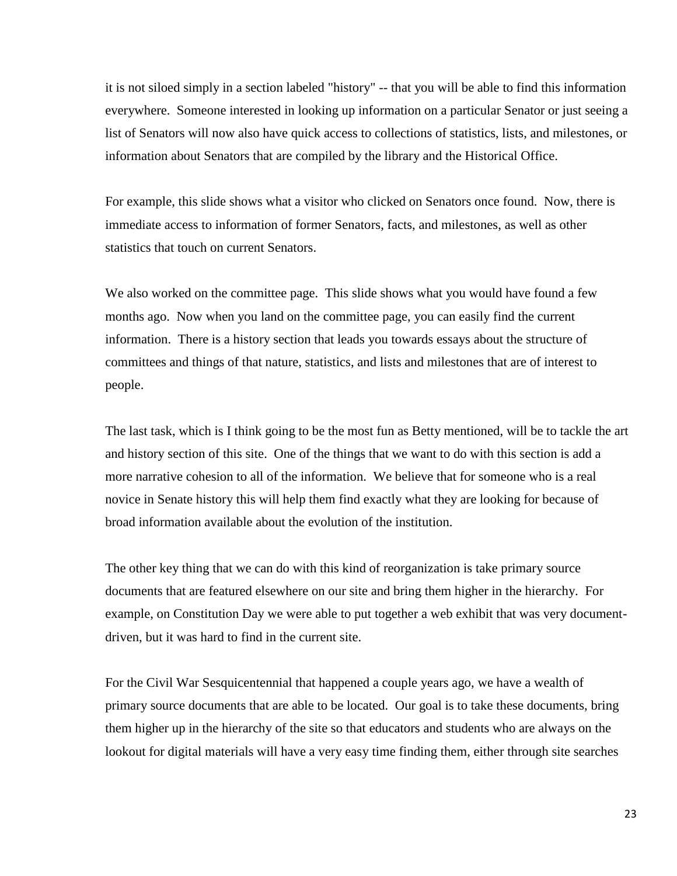it is not siloed simply in a section labeled "history" -- that you will be able to find this information everywhere. Someone interested in looking up information on a particular Senator or just seeing a list of Senators will now also have quick access to collections of statistics, lists, and milestones, or information about Senators that are compiled by the library and the Historical Office.

For example, this slide shows what a visitor who clicked on Senators once found. Now, there is immediate access to information of former Senators, facts, and milestones, as well as other statistics that touch on current Senators.

We also worked on the committee page. This slide shows what you would have found a few months ago. Now when you land on the committee page, you can easily find the current information. There is a history section that leads you towards essays about the structure of committees and things of that nature, statistics, and lists and milestones that are of interest to people.

The last task, which is I think going to be the most fun as Betty mentioned, will be to tackle the art and history section of this site. One of the things that we want to do with this section is add a more narrative cohesion to all of the information. We believe that for someone who is a real novice in Senate history this will help them find exactly what they are looking for because of broad information available about the evolution of the institution.

The other key thing that we can do with this kind of reorganization is take primary source documents that are featured elsewhere on our site and bring them higher in the hierarchy. For example, on Constitution Day we were able to put together a web exhibit that was very documentdriven, but it was hard to find in the current site.

For the Civil War Sesquicentennial that happened a couple years ago, we have a wealth of primary source documents that are able to be located. Our goal is to take these documents, bring them higher up in the hierarchy of the site so that educators and students who are always on the lookout for digital materials will have a very easy time finding them, either through site searches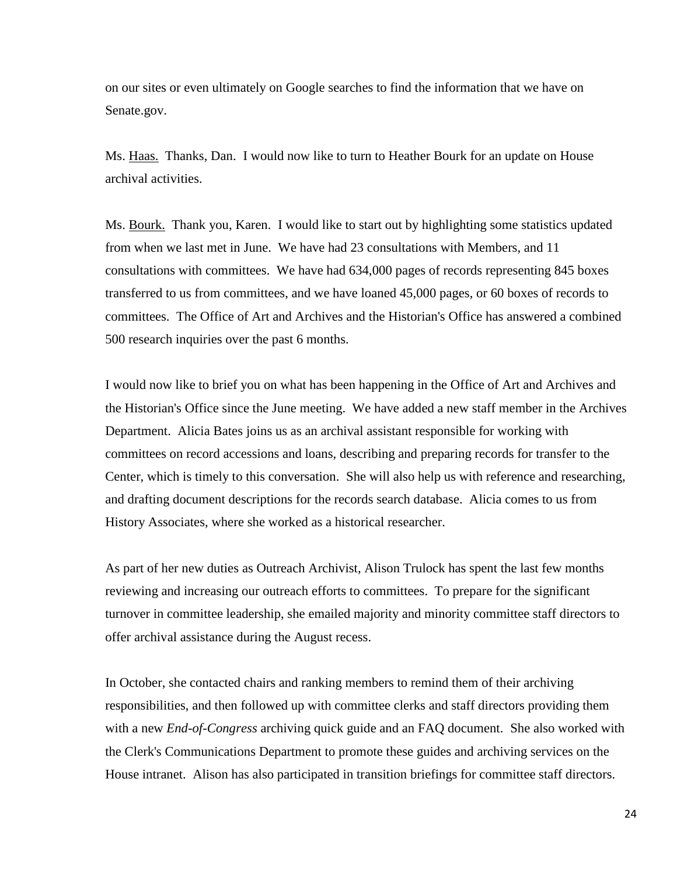on our sites or even ultimately on Google searches to find the information that we have on Senate.gov.

Ms. Haas. Thanks, Dan. I would now like to turn to Heather Bourk for an update on House archival activities.

Ms. Bourk. Thank you, Karen. I would like to start out by highlighting some statistics updated from when we last met in June. We have had 23 consultations with Members, and 11 consultations with committees. We have had 634,000 pages of records representing 845 boxes transferred to us from committees, and we have loaned 45,000 pages, or 60 boxes of records to committees. The Office of Art and Archives and the Historian's Office has answered a combined 500 research inquiries over the past 6 months.

I would now like to brief you on what has been happening in the Office of Art and Archives and the Historian's Office since the June meeting. We have added a new staff member in the Archives Department. Alicia Bates joins us as an archival assistant responsible for working with committees on record accessions and loans, describing and preparing records for transfer to the Center, which is timely to this conversation. She will also help us with reference and researching, and drafting document descriptions for the records search database. Alicia comes to us from History Associates, where she worked as a historical researcher.

As part of her new duties as Outreach Archivist, Alison Trulock has spent the last few months reviewing and increasing our outreach efforts to committees. To prepare for the significant turnover in committee leadership, she emailed majority and minority committee staff directors to offer archival assistance during the August recess.

In October, she contacted chairs and ranking members to remind them of their archiving responsibilities, and then followed up with committee clerks and staff directors providing them with a new *End-of-Congress* archiving quick guide and an FAQ document. She also worked with the Clerk's Communications Department to promote these guides and archiving services on the House intranet. Alison has also participated in transition briefings for committee staff directors.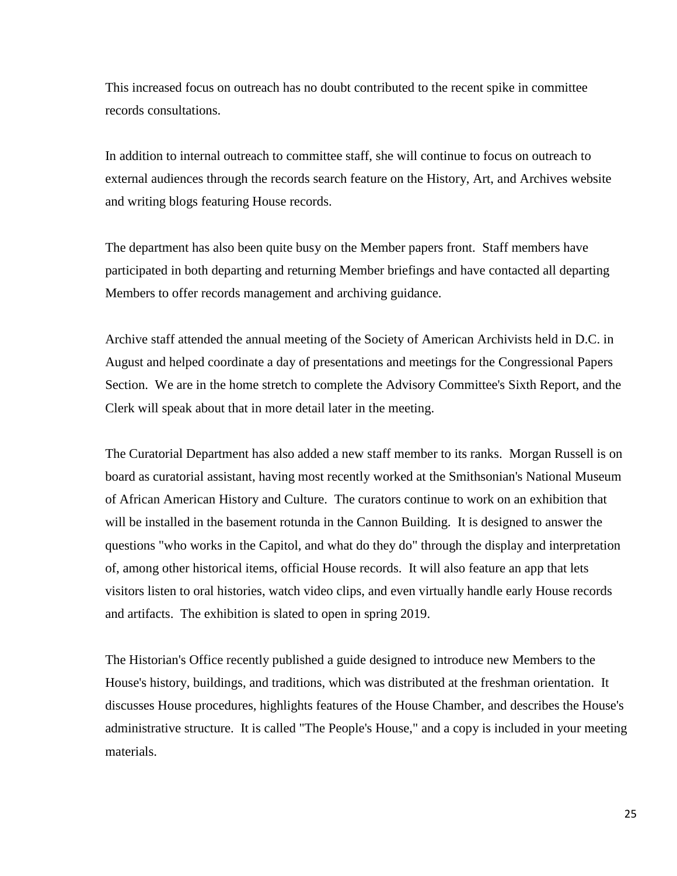This increased focus on outreach has no doubt contributed to the recent spike in committee records consultations.

In addition to internal outreach to committee staff, she will continue to focus on outreach to external audiences through the records search feature on the History, Art, and Archives website and writing blogs featuring House records.

The department has also been quite busy on the Member papers front. Staff members have participated in both departing and returning Member briefings and have contacted all departing Members to offer records management and archiving guidance.

Archive staff attended the annual meeting of the Society of American Archivists held in D.C. in August and helped coordinate a day of presentations and meetings for the Congressional Papers Section. We are in the home stretch to complete the Advisory Committee's Sixth Report, and the Clerk will speak about that in more detail later in the meeting.

The Curatorial Department has also added a new staff member to its ranks. Morgan Russell is on board as curatorial assistant, having most recently worked at the Smithsonian's National Museum of African American History and Culture. The curators continue to work on an exhibition that will be installed in the basement rotunda in the Cannon Building. It is designed to answer the questions "who works in the Capitol, and what do they do" through the display and interpretation of, among other historical items, official House records. It will also feature an app that lets visitors listen to oral histories, watch video clips, and even virtually handle early House records and artifacts. The exhibition is slated to open in spring 2019.

The Historian's Office recently published a guide designed to introduce new Members to the House's history, buildings, and traditions, which was distributed at the freshman orientation. It discusses House procedures, highlights features of the House Chamber, and describes the House's administrative structure. It is called "The People's House," and a copy is included in your meeting materials.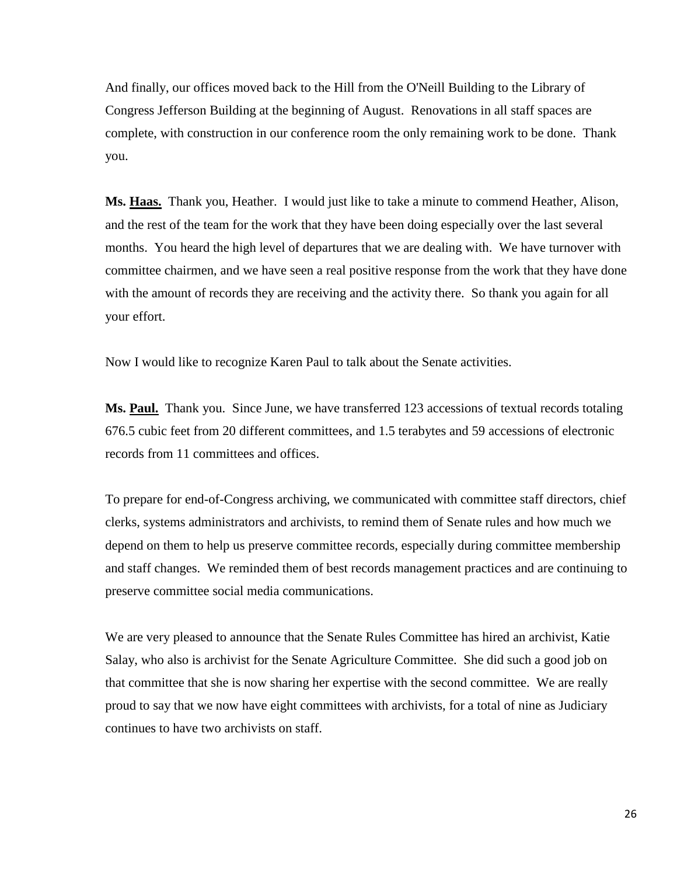And finally, our offices moved back to the Hill from the O'Neill Building to the Library of Congress Jefferson Building at the beginning of August. Renovations in all staff spaces are complete, with construction in our conference room the only remaining work to be done. Thank you.

**Ms. Haas.** Thank you, Heather. I would just like to take a minute to commend Heather, Alison, and the rest of the team for the work that they have been doing especially over the last several months. You heard the high level of departures that we are dealing with. We have turnover with committee chairmen, and we have seen a real positive response from the work that they have done with the amount of records they are receiving and the activity there. So thank you again for all your effort.

Now I would like to recognize Karen Paul to talk about the Senate activities.

**Ms. Paul.** Thank you. Since June, we have transferred 123 accessions of textual records totaling 676.5 cubic feet from 20 different committees, and 1.5 terabytes and 59 accessions of electronic records from 11 committees and offices.

To prepare for end-of-Congress archiving, we communicated with committee staff directors, chief clerks, systems administrators and archivists, to remind them of Senate rules and how much we depend on them to help us preserve committee records, especially during committee membership and staff changes. We reminded them of best records management practices and are continuing to preserve committee social media communications.

We are very pleased to announce that the Senate Rules Committee has hired an archivist, Katie Salay, who also is archivist for the Senate Agriculture Committee. She did such a good job on that committee that she is now sharing her expertise with the second committee. We are really proud to say that we now have eight committees with archivists, for a total of nine as Judiciary continues to have two archivists on staff.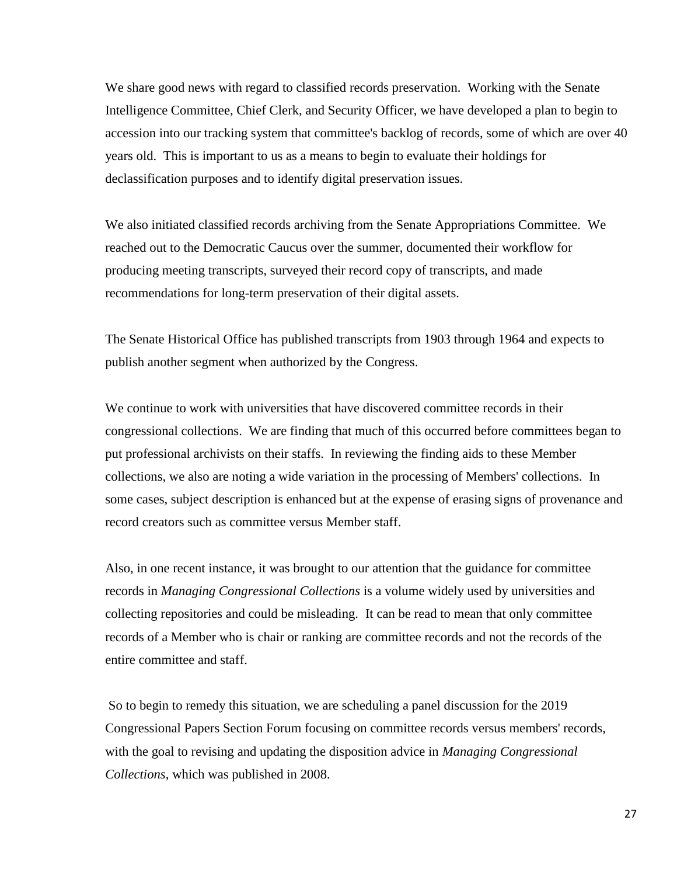We share good news with regard to classified records preservation. Working with the Senate Intelligence Committee, Chief Clerk, and Security Officer, we have developed a plan to begin to accession into our tracking system that committee's backlog of records, some of which are over 40 years old. This is important to us as a means to begin to evaluate their holdings for declassification purposes and to identify digital preservation issues.

We also initiated classified records archiving from the Senate Appropriations Committee. We reached out to the Democratic Caucus over the summer, documented their workflow for producing meeting transcripts, surveyed their record copy of transcripts, and made recommendations for long-term preservation of their digital assets.

The Senate Historical Office has published transcripts from 1903 through 1964 and expects to publish another segment when authorized by the Congress.

We continue to work with universities that have discovered committee records in their congressional collections. We are finding that much of this occurred before committees began to put professional archivists on their staffs. In reviewing the finding aids to these Member collections, we also are noting a wide variation in the processing of Members' collections. In some cases, subject description is enhanced but at the expense of erasing signs of provenance and record creators such as committee versus Member staff.

Also, in one recent instance, it was brought to our attention that the guidance for committee records in *Managing Congressional Collections* is a volume widely used by universities and collecting repositories and could be misleading. It can be read to mean that only committee records of a Member who is chair or ranking are committee records and not the records of the entire committee and staff.

So to begin to remedy this situation, we are scheduling a panel discussion for the 2019 Congressional Papers Section Forum focusing on committee records versus members' records, with the goal to revising and updating the disposition advice in *Managing Congressional Collections*, which was published in 2008.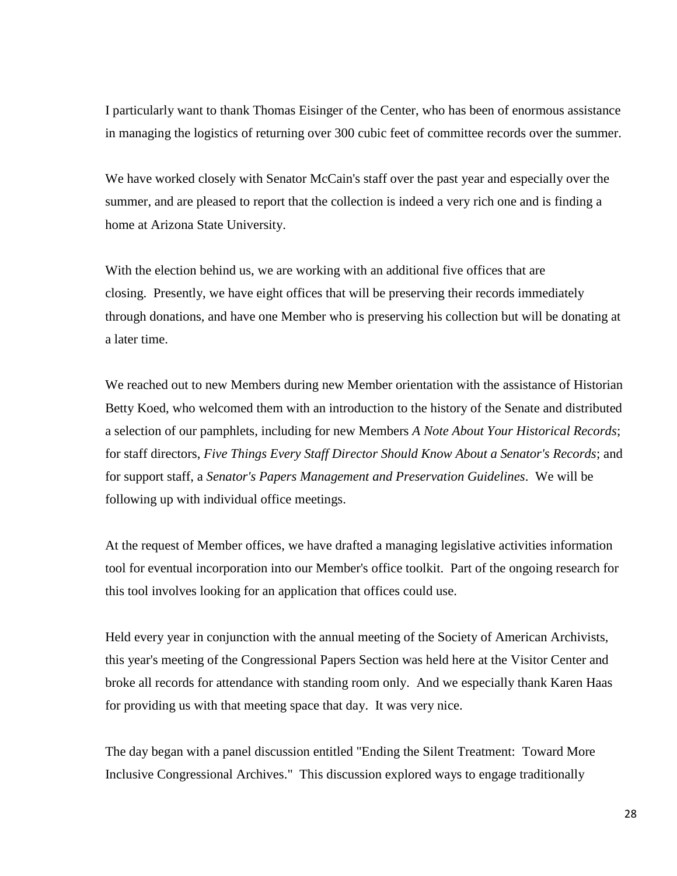I particularly want to thank Thomas Eisinger of the Center, who has been of enormous assistance in managing the logistics of returning over 300 cubic feet of committee records over the summer.

We have worked closely with Senator McCain's staff over the past year and especially over the summer, and are pleased to report that the collection is indeed a very rich one and is finding a home at Arizona State University.

With the election behind us, we are working with an additional five offices that are closing. Presently, we have eight offices that will be preserving their records immediately through donations, and have one Member who is preserving his collection but will be donating at a later time.

We reached out to new Members during new Member orientation with the assistance of Historian Betty Koed, who welcomed them with an introduction to the history of the Senate and distributed a selection of our pamphlets, including for new Members *A Note About Your Historical Records*; for staff directors, *Five Things Every Staff Director Should Know About a Senator's Records*; and for support staff, a *Senator's Papers Management and Preservation Guidelines*. We will be following up with individual office meetings.

At the request of Member offices, we have drafted a managing legislative activities information tool for eventual incorporation into our Member's office toolkit. Part of the ongoing research for this tool involves looking for an application that offices could use.

Held every year in conjunction with the annual meeting of the Society of American Archivists, this year's meeting of the Congressional Papers Section was held here at the Visitor Center and broke all records for attendance with standing room only. And we especially thank Karen Haas for providing us with that meeting space that day. It was very nice.

The day began with a panel discussion entitled "Ending the Silent Treatment: Toward More Inclusive Congressional Archives." This discussion explored ways to engage traditionally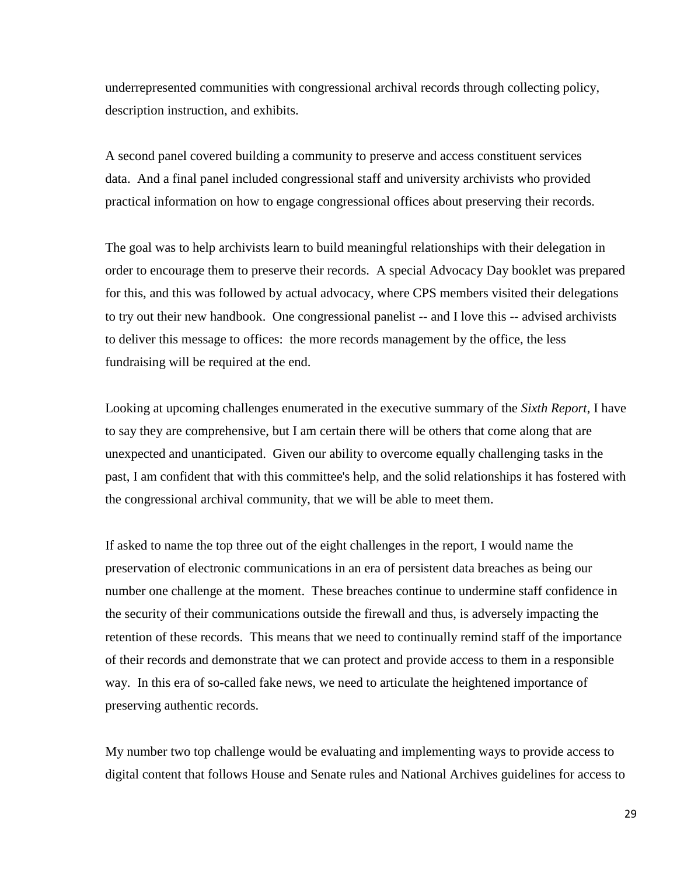underrepresented communities with congressional archival records through collecting policy, description instruction, and exhibits.

A second panel covered building a community to preserve and access constituent services data. And a final panel included congressional staff and university archivists who provided practical information on how to engage congressional offices about preserving their records.

The goal was to help archivists learn to build meaningful relationships with their delegation in order to encourage them to preserve their records. A special Advocacy Day booklet was prepared for this, and this was followed by actual advocacy, where CPS members visited their delegations to try out their new handbook. One congressional panelist -- and I love this -- advised archivists to deliver this message to offices: the more records management by the office, the less fundraising will be required at the end.

Looking at upcoming challenges enumerated in the executive summary of the *Sixth Report*, I have to say they are comprehensive, but I am certain there will be others that come along that are unexpected and unanticipated. Given our ability to overcome equally challenging tasks in the past, I am confident that with this committee's help, and the solid relationships it has fostered with the congressional archival community, that we will be able to meet them.

If asked to name the top three out of the eight challenges in the report, I would name the preservation of electronic communications in an era of persistent data breaches as being our number one challenge at the moment. These breaches continue to undermine staff confidence in the security of their communications outside the firewall and thus, is adversely impacting the retention of these records. This means that we need to continually remind staff of the importance of their records and demonstrate that we can protect and provide access to them in a responsible way. In this era of so-called fake news, we need to articulate the heightened importance of preserving authentic records.

My number two top challenge would be evaluating and implementing ways to provide access to digital content that follows House and Senate rules and National Archives guidelines for access to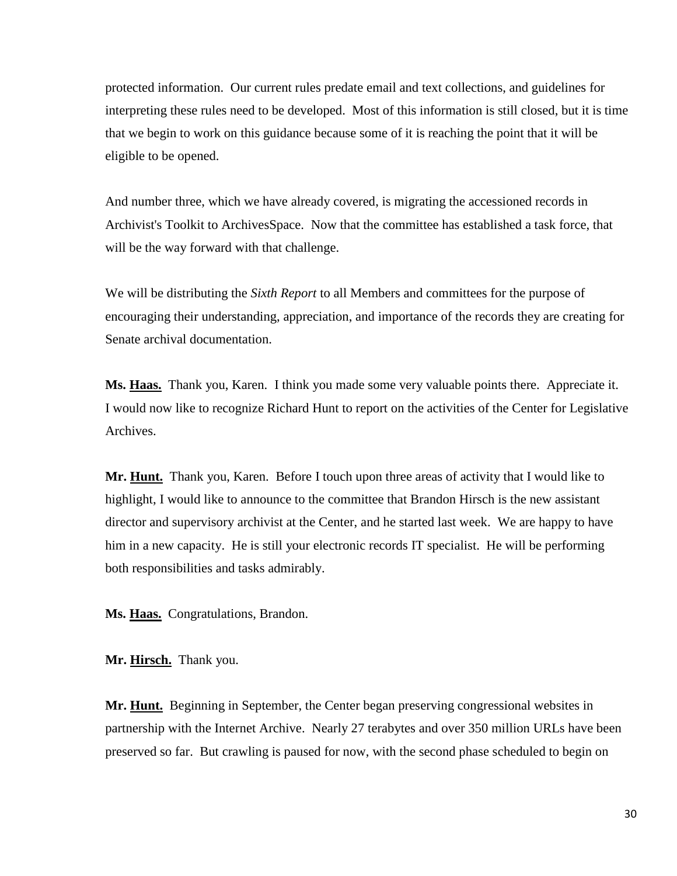protected information. Our current rules predate email and text collections, and guidelines for interpreting these rules need to be developed. Most of this information is still closed, but it is time that we begin to work on this guidance because some of it is reaching the point that it will be eligible to be opened.

And number three, which we have already covered, is migrating the accessioned records in Archivist's Toolkit to ArchivesSpace. Now that the committee has established a task force, that will be the way forward with that challenge.

We will be distributing the *Sixth Report* to all Members and committees for the purpose of encouraging their understanding, appreciation, and importance of the records they are creating for Senate archival documentation.

**Ms. Haas.** Thank you, Karen. I think you made some very valuable points there. Appreciate it. I would now like to recognize Richard Hunt to report on the activities of the Center for Legislative Archives.

**Mr. Hunt.** Thank you, Karen. Before I touch upon three areas of activity that I would like to highlight, I would like to announce to the committee that Brandon Hirsch is the new assistant director and supervisory archivist at the Center, and he started last week. We are happy to have him in a new capacity. He is still your electronic records IT specialist. He will be performing both responsibilities and tasks admirably.

**Ms. Haas.** Congratulations, Brandon.

**Mr. Hirsch.** Thank you.

**Mr. Hunt.** Beginning in September, the Center began preserving congressional websites in partnership with the Internet Archive. Nearly 27 terabytes and over 350 million URLs have been preserved so far. But crawling is paused for now, with the second phase scheduled to begin on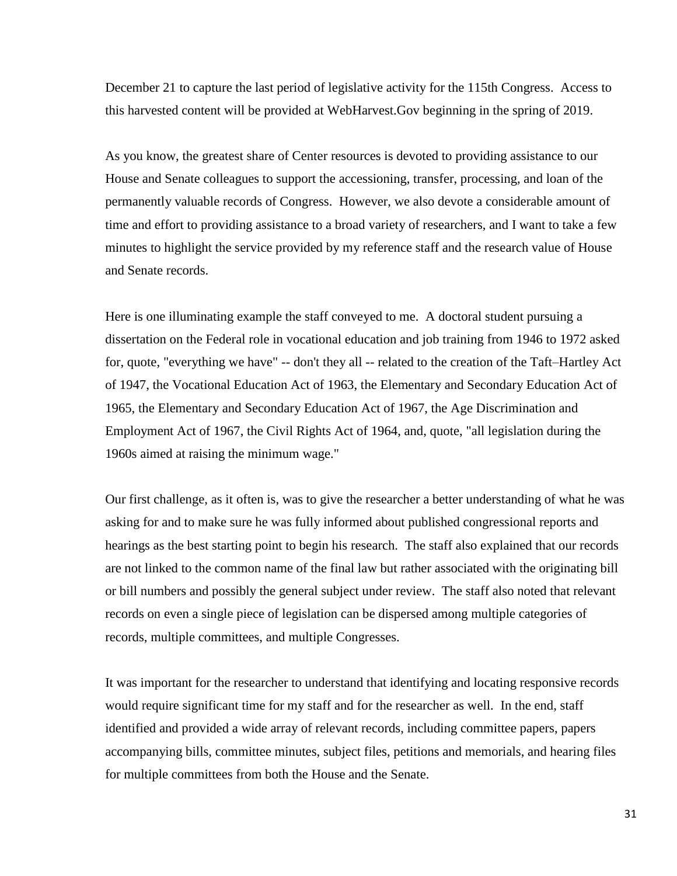December 21 to capture the last period of legislative activity for the 115th Congress. Access to this harvested content will be provided at WebHarvest.Gov beginning in the spring of 2019.

As you know, the greatest share of Center resources is devoted to providing assistance to our House and Senate colleagues to support the accessioning, transfer, processing, and loan of the permanently valuable records of Congress. However, we also devote a considerable amount of time and effort to providing assistance to a broad variety of researchers, and I want to take a few minutes to highlight the service provided by my reference staff and the research value of House and Senate records.

Here is one illuminating example the staff conveyed to me. A doctoral student pursuing a dissertation on the Federal role in vocational education and job training from 1946 to 1972 asked for, quote, "everything we have" -- don't they all -- related to the creation of the Taft–Hartley Act of 1947, the Vocational Education Act of 1963, the Elementary and Secondary Education Act of 1965, the Elementary and Secondary Education Act of 1967, the Age Discrimination and Employment Act of 1967, the Civil Rights Act of 1964, and, quote, "all legislation during the 1960s aimed at raising the minimum wage."

Our first challenge, as it often is, was to give the researcher a better understanding of what he was asking for and to make sure he was fully informed about published congressional reports and hearings as the best starting point to begin his research. The staff also explained that our records are not linked to the common name of the final law but rather associated with the originating bill or bill numbers and possibly the general subject under review. The staff also noted that relevant records on even a single piece of legislation can be dispersed among multiple categories of records, multiple committees, and multiple Congresses.

It was important for the researcher to understand that identifying and locating responsive records would require significant time for my staff and for the researcher as well. In the end, staff identified and provided a wide array of relevant records, including committee papers, papers accompanying bills, committee minutes, subject files, petitions and memorials, and hearing files for multiple committees from both the House and the Senate.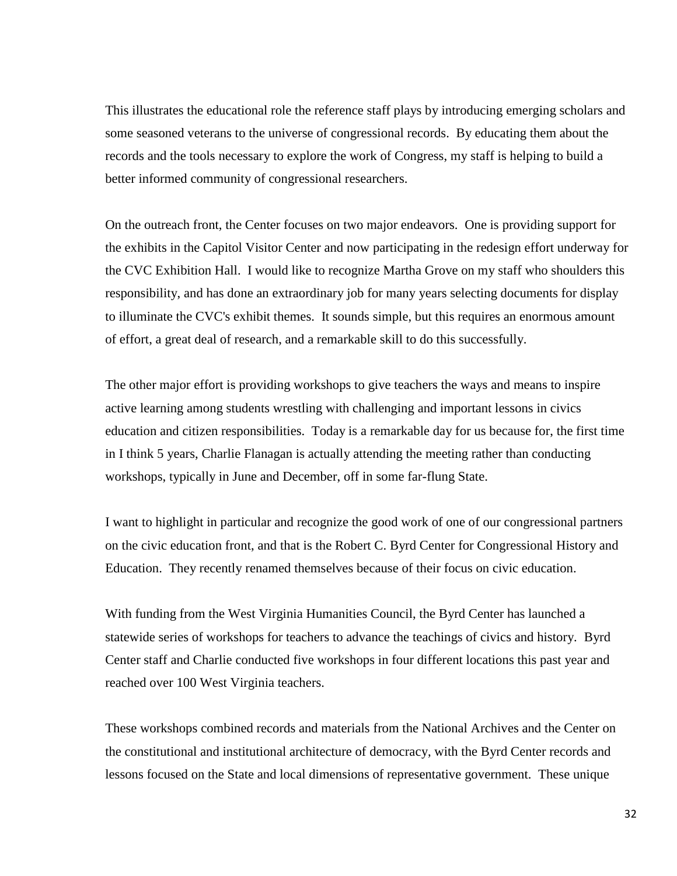This illustrates the educational role the reference staff plays by introducing emerging scholars and some seasoned veterans to the universe of congressional records. By educating them about the records and the tools necessary to explore the work of Congress, my staff is helping to build a better informed community of congressional researchers.

On the outreach front, the Center focuses on two major endeavors. One is providing support for the exhibits in the Capitol Visitor Center and now participating in the redesign effort underway for the CVC Exhibition Hall. I would like to recognize Martha Grove on my staff who shoulders this responsibility, and has done an extraordinary job for many years selecting documents for display to illuminate the CVC's exhibit themes. It sounds simple, but this requires an enormous amount of effort, a great deal of research, and a remarkable skill to do this successfully.

The other major effort is providing workshops to give teachers the ways and means to inspire active learning among students wrestling with challenging and important lessons in civics education and citizen responsibilities. Today is a remarkable day for us because for, the first time in I think 5 years, Charlie Flanagan is actually attending the meeting rather than conducting workshops, typically in June and December, off in some far-flung State.

I want to highlight in particular and recognize the good work of one of our congressional partners on the civic education front, and that is the Robert C. Byrd Center for Congressional History and Education. They recently renamed themselves because of their focus on civic education.

With funding from the West Virginia Humanities Council, the Byrd Center has launched a statewide series of workshops for teachers to advance the teachings of civics and history. Byrd Center staff and Charlie conducted five workshops in four different locations this past year and reached over 100 West Virginia teachers.

These workshops combined records and materials from the National Archives and the Center on the constitutional and institutional architecture of democracy, with the Byrd Center records and lessons focused on the State and local dimensions of representative government. These unique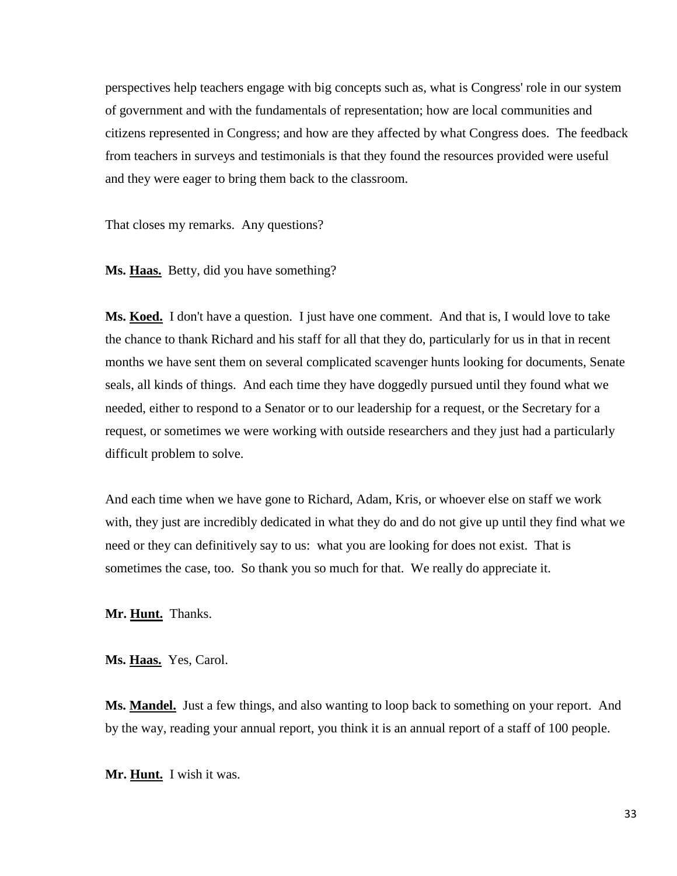perspectives help teachers engage with big concepts such as, what is Congress' role in our system of government and with the fundamentals of representation; how are local communities and citizens represented in Congress; and how are they affected by what Congress does. The feedback from teachers in surveys and testimonials is that they found the resources provided were useful and they were eager to bring them back to the classroom.

That closes my remarks. Any questions?

**Ms. Haas.** Betty, did you have something?

**Ms. Koed.** I don't have a question. I just have one comment. And that is, I would love to take the chance to thank Richard and his staff for all that they do, particularly for us in that in recent months we have sent them on several complicated scavenger hunts looking for documents, Senate seals, all kinds of things. And each time they have doggedly pursued until they found what we needed, either to respond to a Senator or to our leadership for a request, or the Secretary for a request, or sometimes we were working with outside researchers and they just had a particularly difficult problem to solve.

And each time when we have gone to Richard, Adam, Kris, or whoever else on staff we work with, they just are incredibly dedicated in what they do and do not give up until they find what we need or they can definitively say to us: what you are looking for does not exist. That is sometimes the case, too. So thank you so much for that. We really do appreciate it.

**Mr. Hunt.** Thanks.

**Ms. Haas.** Yes, Carol.

**Ms. Mandel.** Just a few things, and also wanting to loop back to something on your report. And by the way, reading your annual report, you think it is an annual report of a staff of 100 people.

**Mr. Hunt.** I wish it was.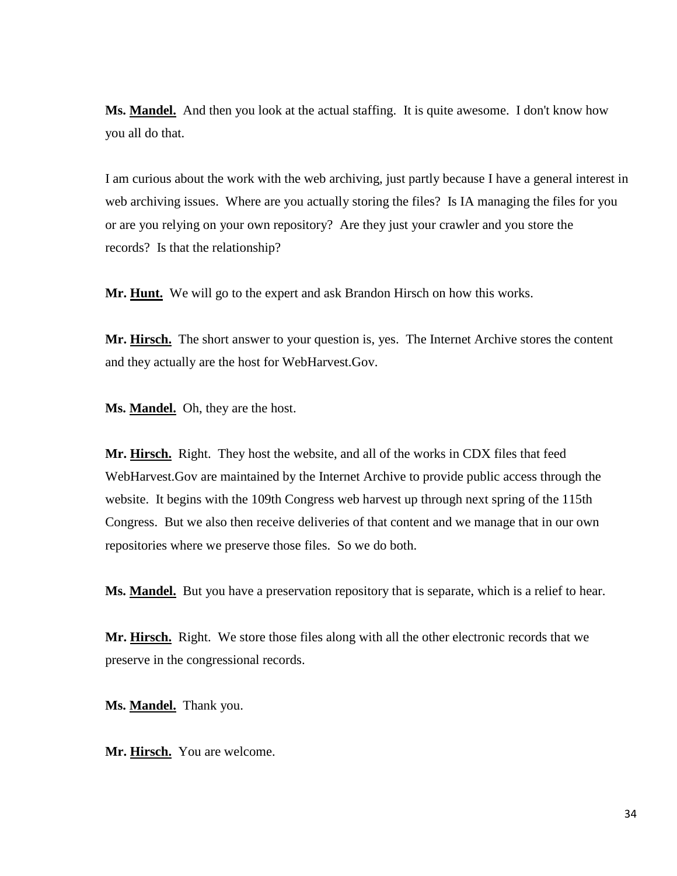**Ms. Mandel.** And then you look at the actual staffing. It is quite awesome. I don't know how you all do that.

I am curious about the work with the web archiving, just partly because I have a general interest in web archiving issues. Where are you actually storing the files? Is IA managing the files for you or are you relying on your own repository? Are they just your crawler and you store the records? Is that the relationship?

**Mr. Hunt.** We will go to the expert and ask Brandon Hirsch on how this works.

**Mr. Hirsch.** The short answer to your question is, yes. The Internet Archive stores the content and they actually are the host for WebHarvest.Gov.

**Ms. Mandel.** Oh, they are the host.

**Mr. Hirsch.** Right. They host the website, and all of the works in CDX files that feed WebHarvest.Gov are maintained by the Internet Archive to provide public access through the website. It begins with the 109th Congress web harvest up through next spring of the 115th Congress. But we also then receive deliveries of that content and we manage that in our own repositories where we preserve those files. So we do both.

Ms. Mandel. But you have a preservation repository that is separate, which is a relief to hear.

**Mr. Hirsch.** Right. We store those files along with all the other electronic records that we preserve in the congressional records.

**Ms. Mandel.** Thank you.

**Mr. Hirsch.** You are welcome.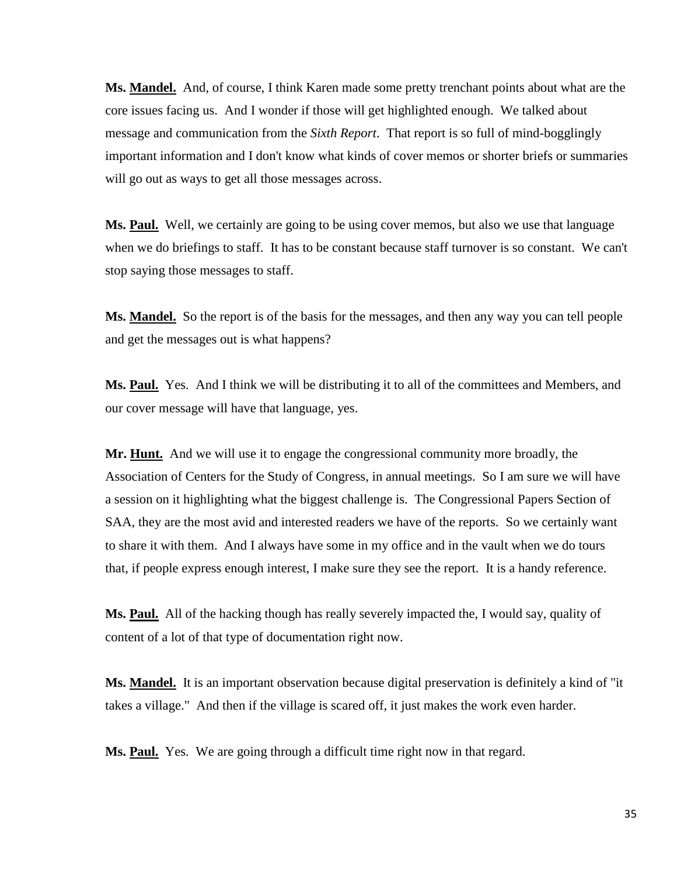**Ms. Mandel.** And, of course, I think Karen made some pretty trenchant points about what are the core issues facing us. And I wonder if those will get highlighted enough. We talked about message and communication from the *Sixth Report*. That report is so full of mind-bogglingly important information and I don't know what kinds of cover memos or shorter briefs or summaries will go out as ways to get all those messages across.

**Ms. Paul.** Well, we certainly are going to be using cover memos, but also we use that language when we do briefings to staff. It has to be constant because staff turnover is so constant. We can't stop saying those messages to staff.

**Ms. Mandel.** So the report is of the basis for the messages, and then any way you can tell people and get the messages out is what happens?

**Ms. Paul.** Yes. And I think we will be distributing it to all of the committees and Members, and our cover message will have that language, yes.

**Mr. Hunt.** And we will use it to engage the congressional community more broadly, the Association of Centers for the Study of Congress, in annual meetings. So I am sure we will have a session on it highlighting what the biggest challenge is. The Congressional Papers Section of SAA, they are the most avid and interested readers we have of the reports. So we certainly want to share it with them. And I always have some in my office and in the vault when we do tours that, if people express enough interest, I make sure they see the report. It is a handy reference.

**Ms. Paul.** All of the hacking though has really severely impacted the, I would say, quality of content of a lot of that type of documentation right now.

**Ms. Mandel.** It is an important observation because digital preservation is definitely a kind of "it takes a village." And then if the village is scared off, it just makes the work even harder.

**Ms. Paul.** Yes. We are going through a difficult time right now in that regard.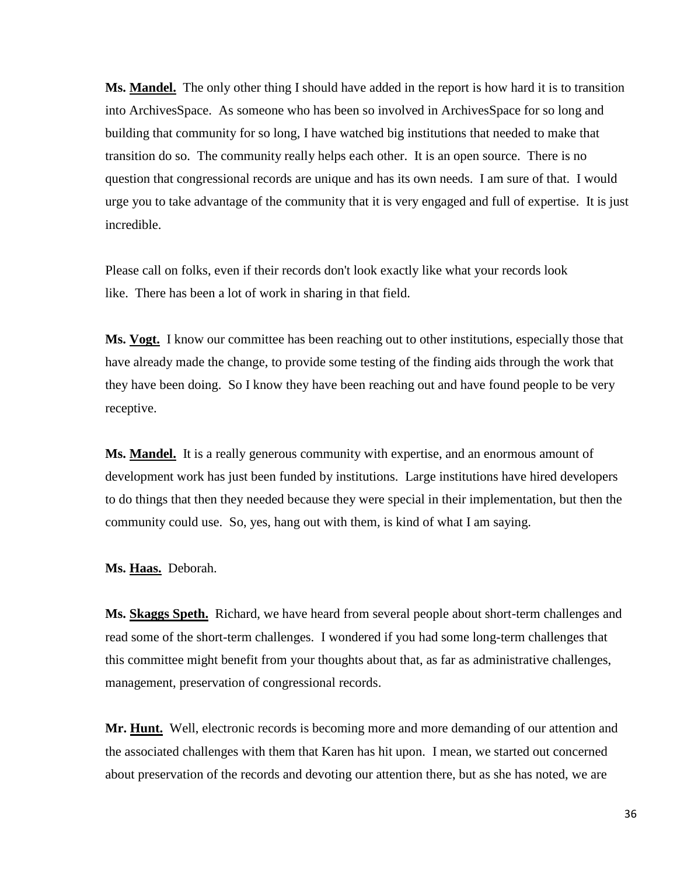**Ms. Mandel.** The only other thing I should have added in the report is how hard it is to transition into ArchivesSpace. As someone who has been so involved in ArchivesSpace for so long and building that community for so long, I have watched big institutions that needed to make that transition do so. The community really helps each other. It is an open source. There is no question that congressional records are unique and has its own needs. I am sure of that. I would urge you to take advantage of the community that it is very engaged and full of expertise. It is just incredible.

Please call on folks, even if their records don't look exactly like what your records look like. There has been a lot of work in sharing in that field.

**Ms. Vogt.** I know our committee has been reaching out to other institutions, especially those that have already made the change, to provide some testing of the finding aids through the work that they have been doing. So I know they have been reaching out and have found people to be very receptive.

**Ms. Mandel.** It is a really generous community with expertise, and an enormous amount of development work has just been funded by institutions. Large institutions have hired developers to do things that then they needed because they were special in their implementation, but then the community could use. So, yes, hang out with them, is kind of what I am saying.

**Ms. Haas.** Deborah.

**Ms. Skaggs Speth.** Richard, we have heard from several people about short-term challenges and read some of the short-term challenges. I wondered if you had some long-term challenges that this committee might benefit from your thoughts about that, as far as administrative challenges, management, preservation of congressional records.

**Mr. Hunt.** Well, electronic records is becoming more and more demanding of our attention and the associated challenges with them that Karen has hit upon. I mean, we started out concerned about preservation of the records and devoting our attention there, but as she has noted, we are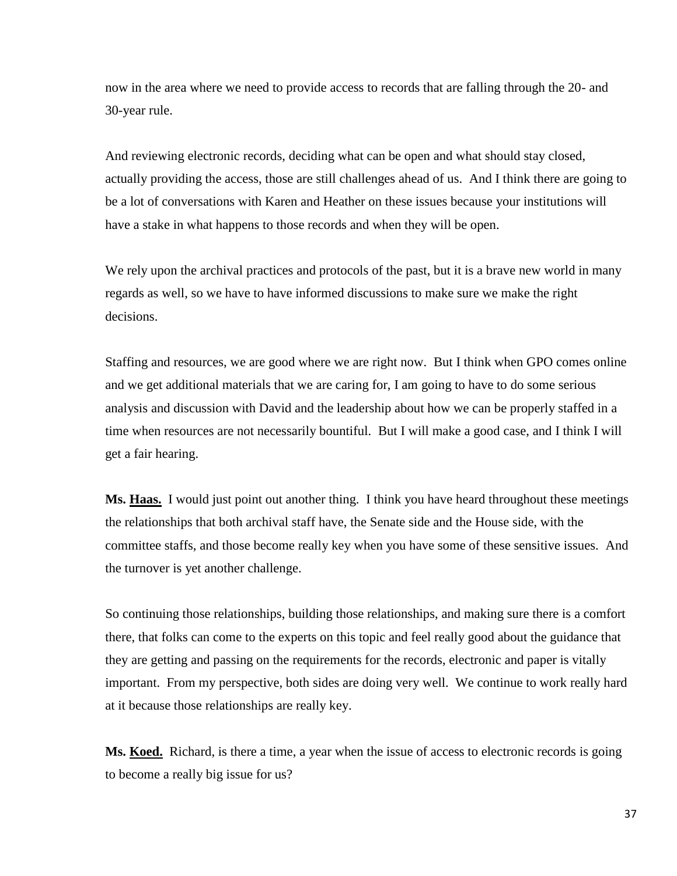now in the area where we need to provide access to records that are falling through the 20- and 30-year rule.

And reviewing electronic records, deciding what can be open and what should stay closed, actually providing the access, those are still challenges ahead of us. And I think there are going to be a lot of conversations with Karen and Heather on these issues because your institutions will have a stake in what happens to those records and when they will be open.

We rely upon the archival practices and protocols of the past, but it is a brave new world in many regards as well, so we have to have informed discussions to make sure we make the right decisions.

Staffing and resources, we are good where we are right now. But I think when GPO comes online and we get additional materials that we are caring for, I am going to have to do some serious analysis and discussion with David and the leadership about how we can be properly staffed in a time when resources are not necessarily bountiful. But I will make a good case, and I think I will get a fair hearing.

**Ms. Haas.** I would just point out another thing. I think you have heard throughout these meetings the relationships that both archival staff have, the Senate side and the House side, with the committee staffs, and those become really key when you have some of these sensitive issues. And the turnover is yet another challenge.

So continuing those relationships, building those relationships, and making sure there is a comfort there, that folks can come to the experts on this topic and feel really good about the guidance that they are getting and passing on the requirements for the records, electronic and paper is vitally important. From my perspective, both sides are doing very well. We continue to work really hard at it because those relationships are really key.

**Ms. Koed.** Richard, is there a time, a year when the issue of access to electronic records is going to become a really big issue for us?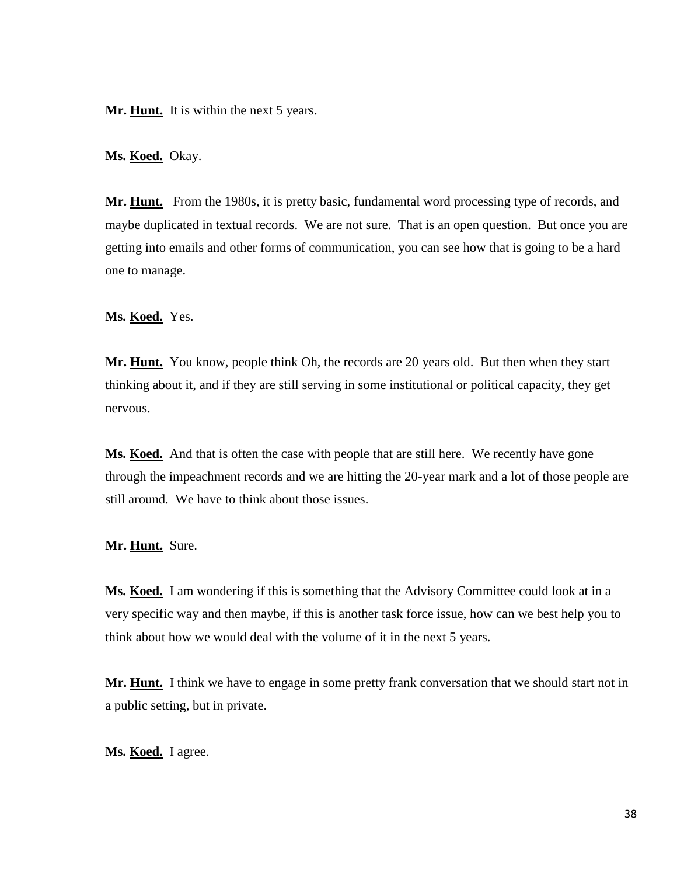Mr. **Hunt.** It is within the next 5 years.

**Ms. Koed.** Okay.

**Mr. Hunt.** From the 1980s, it is pretty basic, fundamental word processing type of records, and maybe duplicated in textual records. We are not sure. That is an open question. But once you are getting into emails and other forms of communication, you can see how that is going to be a hard one to manage.

**Ms. Koed.** Yes.

**Mr. Hunt.** You know, people think Oh, the records are 20 years old. But then when they start thinking about it, and if they are still serving in some institutional or political capacity, they get nervous.

**Ms. Koed.** And that is often the case with people that are still here. We recently have gone through the impeachment records and we are hitting the 20-year mark and a lot of those people are still around. We have to think about those issues.

**Mr. Hunt.** Sure.

**Ms. Koed.** I am wondering if this is something that the Advisory Committee could look at in a very specific way and then maybe, if this is another task force issue, how can we best help you to think about how we would deal with the volume of it in the next 5 years.

**Mr. Hunt.** I think we have to engage in some pretty frank conversation that we should start not in a public setting, but in private.

**Ms. Koed.** I agree.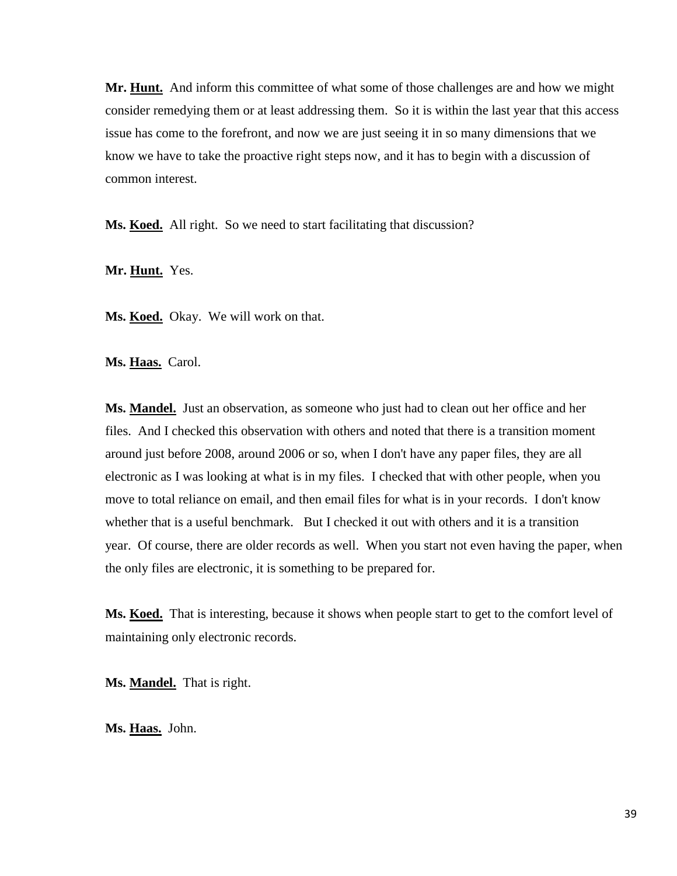**Mr. Hunt.** And inform this committee of what some of those challenges are and how we might consider remedying them or at least addressing them. So it is within the last year that this access issue has come to the forefront, and now we are just seeing it in so many dimensions that we know we have to take the proactive right steps now, and it has to begin with a discussion of common interest.

Ms. Koed. All right. So we need to start facilitating that discussion?

**Mr. Hunt.** Yes.

Ms. **Koed.** Okay. We will work on that.

**Ms. Haas.** Carol.

**Ms. Mandel.** Just an observation, as someone who just had to clean out her office and her files. And I checked this observation with others and noted that there is a transition moment around just before 2008, around 2006 or so, when I don't have any paper files, they are all electronic as I was looking at what is in my files. I checked that with other people, when you move to total reliance on email, and then email files for what is in your records. I don't know whether that is a useful benchmark. But I checked it out with others and it is a transition year. Of course, there are older records as well. When you start not even having the paper, when the only files are electronic, it is something to be prepared for.

**Ms. Koed.** That is interesting, because it shows when people start to get to the comfort level of maintaining only electronic records.

**Ms. Mandel.** That is right.

**Ms. Haas.** John.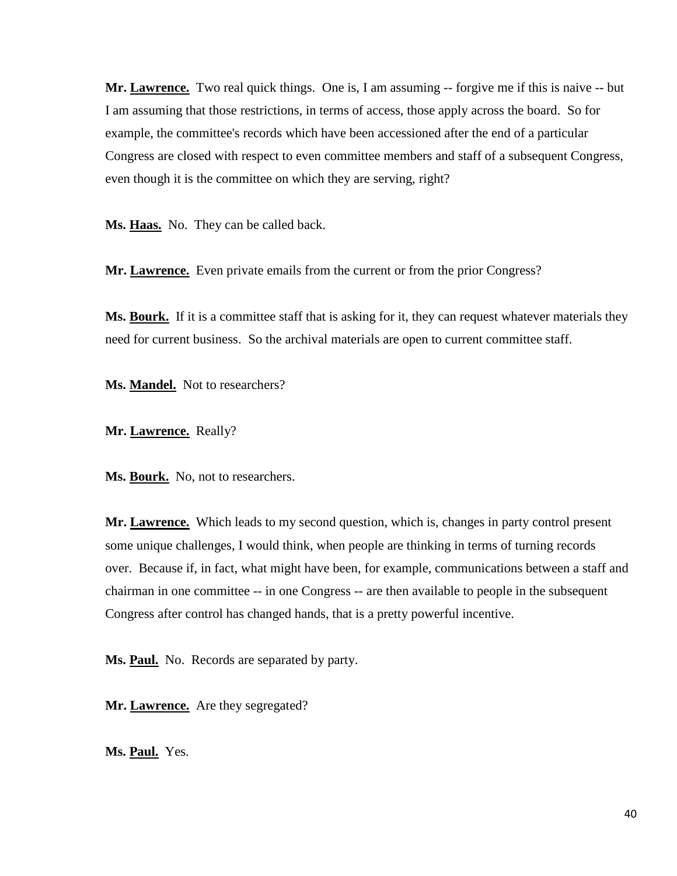**Mr. Lawrence.** Two real quick things. One is, I am assuming -- forgive me if this is naive -- but I am assuming that those restrictions, in terms of access, those apply across the board. So for example, the committee's records which have been accessioned after the end of a particular Congress are closed with respect to even committee members and staff of a subsequent Congress, even though it is the committee on which they are serving, right?

Ms. Haas. No. They can be called back.

Mr. **Lawrence.** Even private emails from the current or from the prior Congress?

**Ms. Bourk.** If it is a committee staff that is asking for it, they can request whatever materials they need for current business. So the archival materials are open to current committee staff.

**Ms. Mandel.** Not to researchers?

**Mr. Lawrence.** Really?

Ms. **Bourk.** No, not to researchers.

**Mr. Lawrence.** Which leads to my second question, which is, changes in party control present some unique challenges, I would think, when people are thinking in terms of turning records over. Because if, in fact, what might have been, for example, communications between a staff and chairman in one committee -- in one Congress -- are then available to people in the subsequent Congress after control has changed hands, that is a pretty powerful incentive.

**Ms. Paul.** No. Records are separated by party.

Mr. **Lawrence.** Are they segregated?

**Ms. Paul.** Yes.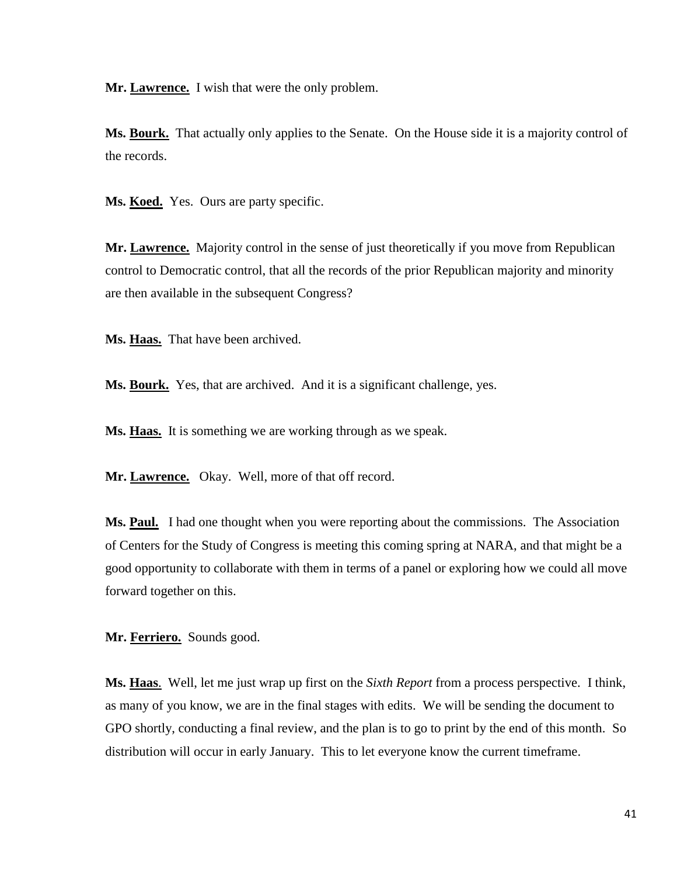**Mr. Lawrence.** I wish that were the only problem.

**Ms. Bourk.** That actually only applies to the Senate. On the House side it is a majority control of the records.

Ms. **Koed.** Yes. Ours are party specific.

**Mr. Lawrence.** Majority control in the sense of just theoretically if you move from Republican control to Democratic control, that all the records of the prior Republican majority and minority are then available in the subsequent Congress?

**Ms. Haas.** That have been archived.

**Ms. Bourk.** Yes, that are archived. And it is a significant challenge, yes.

Ms. **Haas.** It is something we are working through as we speak.

**Mr. Lawrence.** Okay. Well, more of that off record.

Ms. **Paul.** I had one thought when you were reporting about the commissions. The Association of Centers for the Study of Congress is meeting this coming spring at NARA, and that might be a good opportunity to collaborate with them in terms of a panel or exploring how we could all move forward together on this.

**Mr. Ferriero.** Sounds good.

**Ms. Haas**. Well, let me just wrap up first on the *Sixth Report* from a process perspective. I think, as many of you know, we are in the final stages with edits. We will be sending the document to GPO shortly, conducting a final review, and the plan is to go to print by the end of this month. So distribution will occur in early January. This to let everyone know the current timeframe.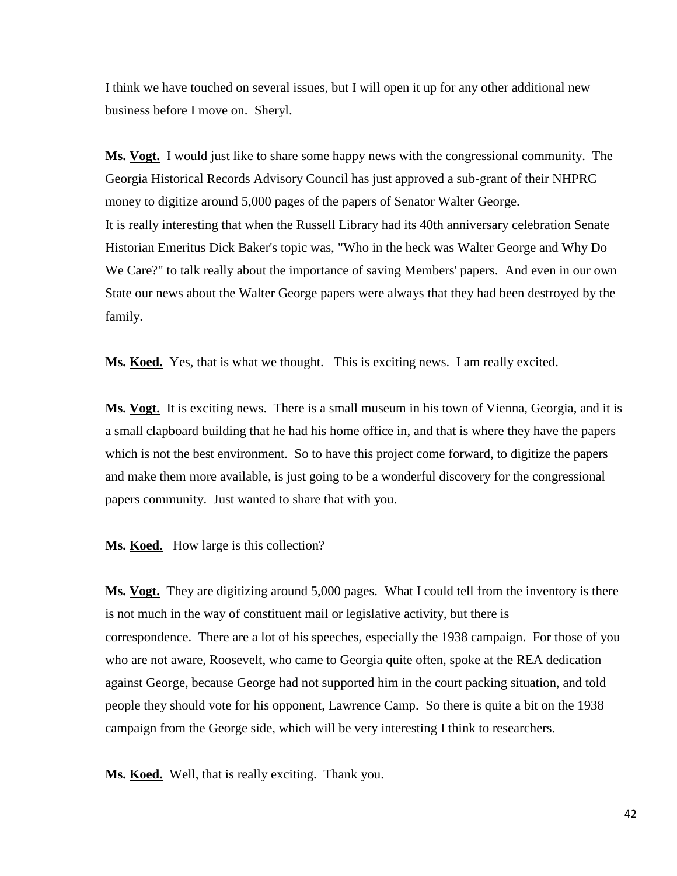I think we have touched on several issues, but I will open it up for any other additional new business before I move on. Sheryl.

**Ms. Vogt.** I would just like to share some happy news with the congressional community. The Georgia Historical Records Advisory Council has just approved a sub-grant of their NHPRC money to digitize around 5,000 pages of the papers of Senator Walter George. It is really interesting that when the Russell Library had its 40th anniversary celebration Senate Historian Emeritus Dick Baker's topic was, "Who in the heck was Walter George and Why Do We Care?" to talk really about the importance of saving Members' papers. And even in our own State our news about the Walter George papers were always that they had been destroyed by the family.

**Ms. Koed.** Yes, that is what we thought. This is exciting news. I am really excited.

Ms. Vogt. It is exciting news. There is a small museum in his town of Vienna, Georgia, and it is a small clapboard building that he had his home office in, and that is where they have the papers which is not the best environment. So to have this project come forward, to digitize the papers and make them more available, is just going to be a wonderful discovery for the congressional papers community. Just wanted to share that with you.

**Ms. Koed**. How large is this collection?

**Ms. Vogt.** They are digitizing around 5,000 pages. What I could tell from the inventory is there is not much in the way of constituent mail or legislative activity, but there is correspondence. There are a lot of his speeches, especially the 1938 campaign. For those of you who are not aware, Roosevelt, who came to Georgia quite often, spoke at the REA dedication against George, because George had not supported him in the court packing situation, and told people they should vote for his opponent, Lawrence Camp. So there is quite a bit on the 1938 campaign from the George side, which will be very interesting I think to researchers.

**Ms. Koed.** Well, that is really exciting. Thank you.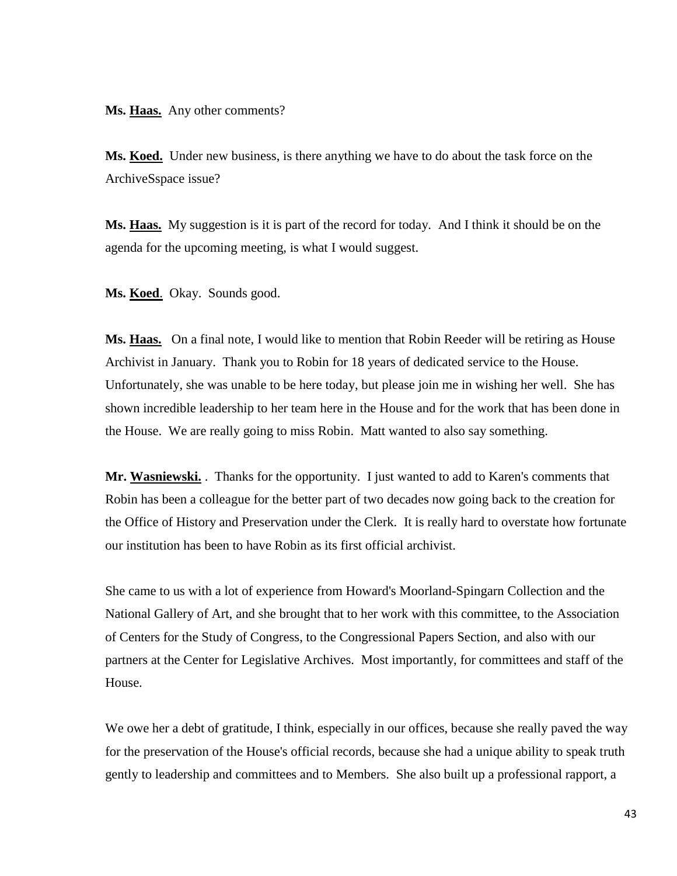**Ms. Haas.** Any other comments?

**Ms. Koed.** Under new business, is there anything we have to do about the task force on the ArchiveSspace issue?

**Ms. Haas.** My suggestion is it is part of the record for today. And I think it should be on the agenda for the upcoming meeting, is what I would suggest.

**Ms. Koed**. Okay. Sounds good.

**Ms. Haas.** On a final note, I would like to mention that Robin Reeder will be retiring as House Archivist in January. Thank you to Robin for 18 years of dedicated service to the House. Unfortunately, she was unable to be here today, but please join me in wishing her well. She has shown incredible leadership to her team here in the House and for the work that has been done in the House. We are really going to miss Robin. Matt wanted to also say something.

**Mr. Wasniewski.** . Thanks for the opportunity. I just wanted to add to Karen's comments that Robin has been a colleague for the better part of two decades now going back to the creation for the Office of History and Preservation under the Clerk. It is really hard to overstate how fortunate our institution has been to have Robin as its first official archivist.

She came to us with a lot of experience from Howard's Moorland-Spingarn Collection and the National Gallery of Art, and she brought that to her work with this committee, to the Association of Centers for the Study of Congress, to the Congressional Papers Section, and also with our partners at the Center for Legislative Archives. Most importantly, for committees and staff of the House.

We owe her a debt of gratitude, I think, especially in our offices, because she really paved the way for the preservation of the House's official records, because she had a unique ability to speak truth gently to leadership and committees and to Members. She also built up a professional rapport, a